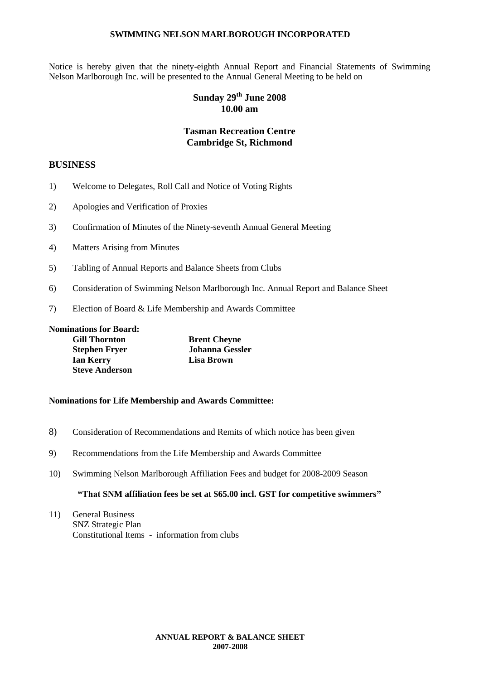Notice is hereby given that the ninety-eighth Annual Report and Financial Statements of Swimming Nelson Marlborough Inc. will be presented to the Annual General Meeting to be held on

### **Sunday 29th June 2008 10.00 am**

### **Tasman Recreation Centre Cambridge St, Richmond**

### **BUSINESS**

- 1) Welcome to Delegates, Roll Call and Notice of Voting Rights
- 2) Apologies and Verification of Proxies
- 3) Confirmation of Minutes of the Ninety-seventh Annual General Meeting
- 4) Matters Arising from Minutes
- 5) Tabling of Annual Reports and Balance Sheets from Clubs
- 6) Consideration of Swimming Nelson Marlborough Inc. Annual Report and Balance Sheet
- 7) Election of Board & Life Membership and Awards Committee

**Nominations for Board: Gill Thornton**<br> **Brent Cheyne**<br> **Geopher Fryer**<br> **Geopher Cheyne**<br> **Geopher Cheyne Stephen Fryer Johanna Gessler Ian Kerry Lisa Brown Steve Anderson**

### **Nominations for Life Membership and Awards Committee:**

- 8) Consideration of Recommendations and Remits of which notice has been given
- 9) Recommendations from the Life Membership and Awards Committee
- 10) Swimming Nelson Marlborough Affiliation Fees and budget for 2008-2009 Season

### **"That SNM affiliation fees be set at \$65.00 incl. GST for competitive swimmers"**

11) General Business SNZ Strategic Plan Constitutional Items - information from clubs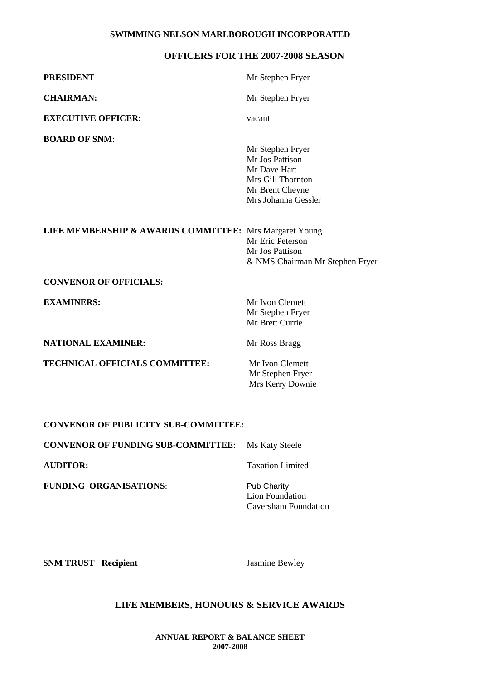### **OFFICERS FOR THE 2007-2008 SEASON**

| <b>PRESIDENT</b>                                       | Mr Stephen Fryer                                                                                                   |
|--------------------------------------------------------|--------------------------------------------------------------------------------------------------------------------|
| <b>CHAIRMAN:</b>                                       | Mr Stephen Fryer                                                                                                   |
| <b>EXECUTIVE OFFICER:</b>                              | vacant                                                                                                             |
| <b>BOARD OF SNM:</b>                                   | Mr Stephen Fryer<br>Mr Jos Pattison<br>Mr Dave Hart<br>Mrs Gill Thornton<br>Mr Brent Cheyne<br>Mrs Johanna Gessler |
| LIFE MEMBERSHIP & AWARDS COMMITTEE: Mrs Margaret Young | Mr Eric Peterson<br>Mr Jos Pattison<br>& NMS Chairman Mr Stephen Fryer                                             |
| <b>CONVENOR OF OFFICIALS:</b>                          |                                                                                                                    |
| <b>EXAMINERS:</b>                                      | Mr Ivon Clemett<br>Mr Stephen Fryer<br>Mr Brett Currie                                                             |
| <b>NATIONAL EXAMINER:</b>                              | Mr Ross Bragg                                                                                                      |
| TECHNICAL OFFICIALS COMMITTEE:                         | Mr Ivon Clemett<br>Mr Stephen Fryer<br>Mrs Kerry Downie                                                            |

### **CONVENOR OF PUBLICITY SUB-COMMITTEE:**

| <b>CONVENOR OF FUNDING SUB-COMMITTEE:</b> Ms Katy Steele |                                                               |
|----------------------------------------------------------|---------------------------------------------------------------|
| <b>AUDITOR:</b>                                          | <b>Taxation Limited</b>                                       |
| <b>FUNDING ORGANISATIONS:</b>                            | <b>Pub Charity</b><br>Lion Foundation<br>Caversham Foundation |

**SNM TRUST Recipient Jasmine Bewley** 

### **LIFE MEMBERS, HONOURS & SERVICE AWARDS**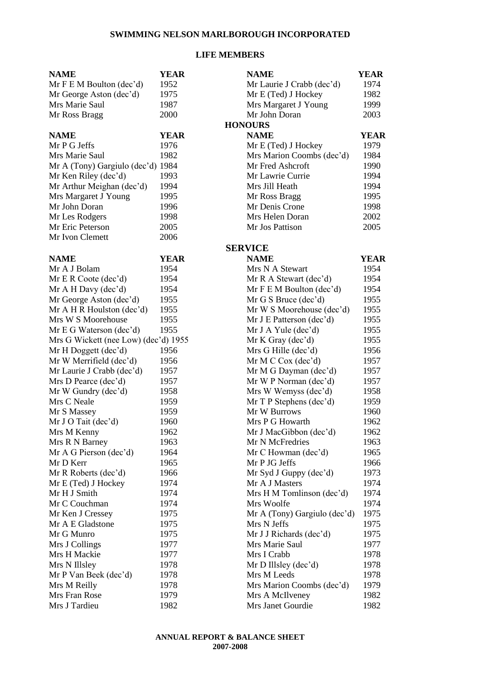### **LIFE MEMBERS**

| <b>NAME</b>                          | <b>YEAR</b> | <b>NAME</b>                  | <b>YEAR</b> |
|--------------------------------------|-------------|------------------------------|-------------|
| Mr F E M Boulton (dec'd)             | 1952        | Mr Laurie J Crabb (dec'd)    | 1974        |
| Mr George Aston (dec'd)              | 1975        | 1982<br>Mr E (Ted) J Hockey  |             |
| Mrs Marie Saul                       | 1987        | Mrs Margaret J Young<br>1999 |             |
| Mr Ross Bragg                        | 2000        | Mr John Doran                | 2003        |
|                                      |             | <b>HONOURS</b>               |             |
| <b>NAME</b>                          | <b>YEAR</b> | <b>NAME</b>                  | <b>YEAR</b> |
| Mr P G Jeffs                         | 1976        | Mr E (Ted) J Hockey          | 1979        |
| Mrs Marie Saul                       | 1982        | Mrs Marion Coombs (dec'd)    | 1984        |
| Mr A (Tony) Gargiulo (dec'd) 1984    |             | Mr Fred Ashcroft             | 1990        |
| Mr Ken Riley (dec'd)                 | 1993        | Mr Lawrie Currie             | 1994        |
| Mr Arthur Meighan (dec'd)            | 1994        | Mrs Jill Heath               | 1994        |
| Mrs Margaret J Young                 | 1995        | Mr Ross Bragg                | 1995        |
| Mr John Doran                        | 1996        | Mr Denis Crone               | 1998        |
| Mr Les Rodgers                       | 1998        | Mrs Helen Doran              | 2002        |
| Mr Eric Peterson                     | 2005        | Mr Jos Pattison              | 2005        |
| Mr Ivon Clemett                      | 2006        |                              |             |
|                                      |             | <b>SERVICE</b>               |             |
| <b>NAME</b>                          | <b>YEAR</b> | <b>NAME</b>                  | <b>YEAR</b> |
| Mr A J Bolam                         | 1954        | Mrs N A Stewart              | 1954        |
| Mr E R Code (dec'd)                  | 1954        | Mr R A Stewart (dec'd)       | 1954        |
| Mr A H Day (dec'd)                   | 1954        | Mr F E M Boulton (dec'd)     | 1954        |
| Mr George Aston (dec'd)              | 1955        | Mr G S Bruce (dec'd)         | 1955        |
| Mr A H R Houlston (dec'd)            | 1955        | Mr W S Moorehouse (dec'd)    | 1955        |
| Mrs W S Moorehouse                   | 1955        | Mr J E Patterson (dec'd)     | 1955        |
| Mr E G Waterson (dec'd)              | 1955        | Mr J A Yule $(dec'd)$        | 1955        |
| Mrs G Wickett (nee Low) (dec'd) 1955 |             | Mr K Gray (dec'd)            | 1955        |
| Mr H Doggett (dec'd)                 | 1956        | Mrs G Hille (dec'd)          | 1956        |
| Mr W Merrifield (dec'd)              | 1956        | Mr M C Cox (dec'd)           | 1957        |
| Mr Laurie J Crabb (dec'd)            | 1957        | Mr M G Dayman (dec'd)        | 1957        |
| Mrs D Pearce (dec'd)                 | 1957        | Mr W P Norman (dec'd)        | 1957        |
| Mr W Gundry (dec'd)                  | 1958        | Mrs W Wemyss (dec'd)         | 1958        |
| Mrs C Neale                          | 1959        | Mr T P Stephens (dec'd)      | 1959        |
| Mr S Massey                          | 1959        | Mr W Burrows                 | 1960        |
| Mr J O Tait (dec'd)                  | 1960        | Mrs P G Howarth              | 1962        |
| Mrs M Kenny                          | 1962        | Mr J MacGibbon (dec'd)       | 1962        |
| Mrs R N Barney                       | 1963        | Mr N McFredries              | 1963        |
| Mr A G Pierson (dec'd)               | 1964        | Mr C Howman (dec'd)          | 1965        |
| Mr D Kerr                            | 1965        | Mr P JG Jeffs                | 1966        |
| Mr R Roberts (dec'd)                 | 1966        | Mr Syd J Guppy (dec'd)       | 1973        |
| Mr E (Ted) J Hockey                  | 1974        | Mr A J Masters               | 1974        |
| Mr H J Smith                         | 1974        | Mrs H M Tomlinson (dec'd)    | 1974        |
| Mr C Couchman                        | 1974        | Mrs Woolfe                   | 1974        |
| Mr Ken J Cressey                     | 1975        | Mr A (Tony) Gargiulo (dec'd) | 1975        |
| Mr A E Gladstone                     | 1975        | Mrs N Jeffs                  | 1975        |
| Mr G Munro                           | 1975        | Mr J J Richards (dec'd)      | 1975        |
| Mrs J Collings                       | 1977        | Mrs Marie Saul               | 1977        |
| Mrs H Mackie                         | 1977        | Mrs I Crabb                  | 1978        |
| Mrs N Illsley                        | 1978        | Mr D Illsley (dec'd)         | 1978        |
| Mr P Van Beek (dec'd)                | 1978        | Mrs M Leeds                  | 1978        |
| Mrs M Reilly                         | 1978        | Mrs Marion Coombs (dec'd)    | 1979        |
| Mrs Fran Rose                        | 1979        | Mrs A McIlveney              | 1982        |
| Mrs J Tardieu                        | 1982        | Mrs Janet Gourdie            | 1982        |
|                                      |             |                              |             |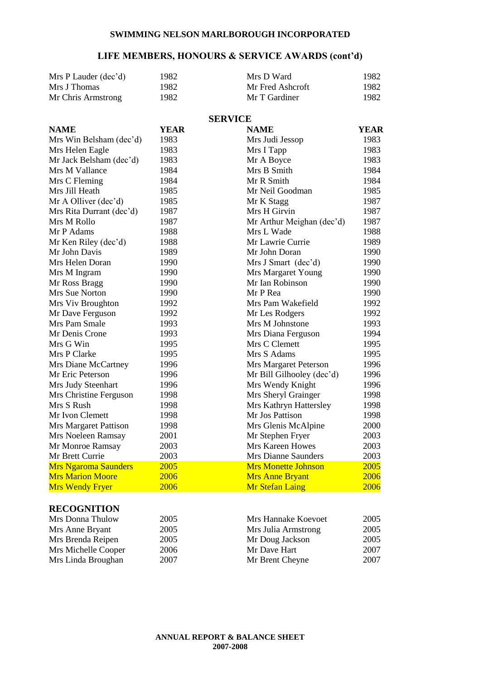### **LIFE MEMBERS, HONOURS & SERVICE AWARDS (cont'd)**

| Mrs P Lauder (dec'd) | 1982  | Mrs D Ward       | 1982 |
|----------------------|-------|------------------|------|
| Mrs J Thomas         | 1982  | Mr Fred Ashcroft | 1982 |
| Mr Chris Armstrong   | 1982. | Mr T Gardiner    | 1982 |

### **SERVICE**

| <b>NAME</b>                 | <b>YEAR</b> | <b>NAME</b>                | <b>YEAR</b> |
|-----------------------------|-------------|----------------------------|-------------|
| Mrs Win Belsham (dec'd)     | 1983        | Mrs Judi Jessop            | 1983        |
| Mrs Helen Eagle             | 1983        | Mrs I Tapp                 | 1983        |
| Mr Jack Belsham (dec'd)     | 1983        | Mr A Boyce                 | 1983        |
| Mrs M Vallance              | 1984        | Mrs B Smith                | 1984        |
| Mrs C Fleming               | 1984        | Mr R Smith                 | 1984        |
| Mrs Jill Heath              | 1985        | Mr Neil Goodman            | 1985        |
| Mr A Olliver (dec'd)        | 1985        | Mr K Stagg                 | 1987        |
| Mrs Rita Durrant (dec'd)    | 1987        | Mrs H Girvin               | 1987        |
| Mrs M Rollo                 | 1987        | Mr Arthur Meighan (dec'd)  | 1987        |
| Mr P Adams                  | 1988        | Mrs L Wade                 | 1988        |
| Mr Ken Riley (dec'd)        | 1988        | Mr Lawrie Currie           | 1989        |
| Mr John Davis               | 1989        | Mr John Doran              | 1990        |
| Mrs Helen Doran             | 1990        | Mrs J Smart (dec'd)        | 1990        |
| Mrs M Ingram                | 1990        | Mrs Margaret Young         | 1990        |
| Mr Ross Bragg               | 1990        | Mr Ian Robinson            | 1990        |
| Mrs Sue Norton              | 1990        | Mr P Rea                   | 1990        |
| Mrs Viv Broughton           | 1992        | Mrs Pam Wakefield          | 1992        |
| Mr Dave Ferguson            | 1992        | Mr Les Rodgers             | 1992        |
| Mrs Pam Smale               | 1993        | Mrs M Johnstone            | 1993        |
| Mr Denis Crone              | 1993        | Mrs Diana Ferguson         | 1994        |
| Mrs G Win                   | 1995        | Mrs C Clemett              | 1995        |
| Mrs P Clarke                | 1995        | Mrs S Adams                | 1995        |
| <b>Mrs Diane McCartney</b>  | 1996        | Mrs Margaret Peterson      | 1996        |
| Mr Eric Peterson            | 1996        | Mr Bill Gilhooley (dec'd)  | 1996        |
| Mrs Judy Steenhart          | 1996        | Mrs Wendy Knight           | 1996        |
| Mrs Christine Ferguson      | 1998        | Mrs Sheryl Grainger        | 1998        |
| Mrs S Rush                  | 1998        | Mrs Kathryn Hattersley     | 1998        |
| Mr Ivon Clemett             | 1998        | Mr Jos Pattison            | 1998        |
| Mrs Margaret Pattison       | 1998        | Mrs Glenis McAlpine        | 2000        |
| Mrs Noeleen Ramsay          | 2001        | Mr Stephen Fryer           | 2003        |
| Mr Monroe Ramsay            | 2003        | <b>Mrs Kareen Howes</b>    | 2003        |
| Mr Brett Currie             | 2003        | Mrs Dianne Saunders        | 2003        |
| <b>Mrs Ngaroma Saunders</b> | 2005        | <b>Mrs Monette Johnson</b> | 2005        |
| <b>Mrs Marion Moore</b>     | 2006        | <b>Mrs Anne Bryant</b>     | 2006        |
| <b>Mrs Wendy Fryer</b>      | 2006        | <b>Mr Stefan Laing</b>     | 2006        |

### **RECOGNITION**

| Mrs Donna Thulow    | 2005 | Mrs Hannake Koevoet | 2005 |
|---------------------|------|---------------------|------|
| Mrs Anne Bryant     | 2005 | Mrs Julia Armstrong | 2005 |
| Mrs Brenda Reipen   | 2005 | Mr Doug Jackson     | 2005 |
| Mrs Michelle Cooper | 2006 | Mr Dave Hart        | 2007 |
| Mrs Linda Broughan  | 2007 | Mr Brent Cheyne     | 2007 |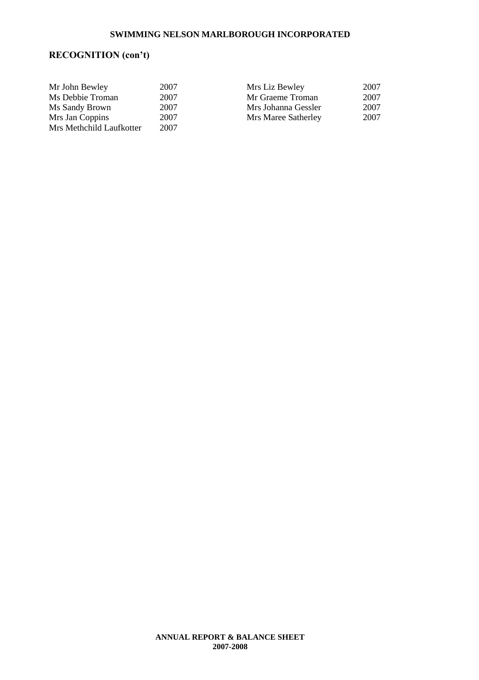## **RECOGNITION (con't)**

| Mr John Bewley           | 2007 | Mrs Liz Bewley      | 2007 |
|--------------------------|------|---------------------|------|
| Ms Debbie Troman         | 2007 | Mr Graeme Troman    | 2007 |
| Ms Sandy Brown           | 2007 | Mrs Johanna Gessler | 2007 |
| Mrs Jan Coppins          | 2007 | Mrs Maree Satherley | 2007 |
| Mrs Methchild Laufkotter | 2007 |                     |      |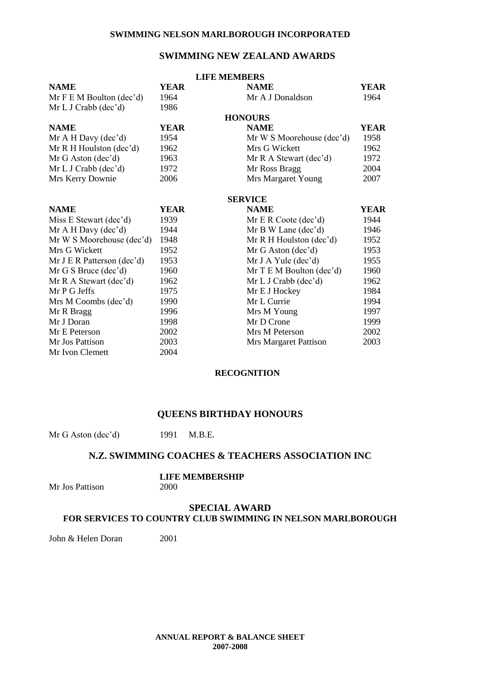### **SWIMMING NEW ZEALAND AWARDS**

|                            |             | <b>LIFE MEMBERS</b>       |             |
|----------------------------|-------------|---------------------------|-------------|
| <b>NAME</b>                | YEAR        | <b>NAME</b>               | <b>YEAR</b> |
| Mr F E M Boulton (dec'd)   | 1964        | Mr A J Donaldson          | 1964        |
| Mr L J Crabb (dec'd)       | 1986        |                           |             |
|                            |             | <b>HONOURS</b>            |             |
| <b>NAME</b>                | <b>YEAR</b> | <b>NAME</b>               | <b>YEAR</b> |
| Mr A H Davy (dec'd)        | 1954        | Mr W S Moorehouse (dec'd) | 1958        |
| Mr R H Houlston (dec'd)    | 1962        | Mrs G Wickett             | 1962        |
| Mr G Aston (dec'd)         | 1963        | Mr R A Stewart (dec'd)    | 1972        |
| Mr L J Crabb (dec'd)       | 1972        | Mr Ross Bragg             | 2004        |
| Mrs Kerry Downie           | 2006        | Mrs Margaret Young        | 2007        |
|                            |             | <b>SERVICE</b>            |             |
| <b>NAME</b>                | <b>YEAR</b> | <b>NAME</b>               | <b>YEAR</b> |
| Miss E Stewart (dec'd)     | 1939        | Mr E R Code (dec'd)       | 1944        |
| Mr A H Day (dec'd)         | 1944        | Mr B W Lane (dec'd)       | 1946        |
| Mr W S Moorehouse (dec'd)  | 1948        | Mr R H Houlston (dec'd)   | 1952        |
| Mrs G Wickett              | 1952        | Mr G Aston (dec'd)        | 1953        |
| Mr J E R Patterson (dec'd) | 1953        | Mr J A Yule $(dec'd)$     | 1955        |
| Mr G S Bruce (dec'd)       | 1960        | Mr T E M Boulton (dec'd)  | 1960        |
| Mr R A Stewart (dec'd)     | 1962        | Mr L J Crab (dec'd)       | 1962        |
| Mr P G Jeffs               | 1975        | Mr E J Hockey             | 1984        |
| Mrs M Coombs (dec'd)       | 1990        | Mr L Currie               | 1994        |
| Mr R Bragg                 | 1996        | Mrs M Young               | 1997        |
| Mr J Doran                 | 1998        | Mr D Crone                | 1999        |
| Mr E Peterson              | 2002        | Mrs M Peterson            | 2002        |
| Mr Jos Pattison            | 2003        | Mrs Margaret Pattison     | 2003        |
| Mr Ivon Clemett            | 2004        |                           |             |

### **RECOGNITION**

### **QUEENS BIRTHDAY HONOURS**

Mr G Aston (dec'd) 1991 M.B.E.

### **N.Z. SWIMMING COACHES & TEACHERS ASSOCIATION INC**

## **LIFE MEMBERSHIP**

Mr Jos Pattison

### **SPECIAL AWARD FOR SERVICES TO COUNTRY CLUB SWIMMING IN NELSON MARLBOROUGH**

John & Helen Doran 2001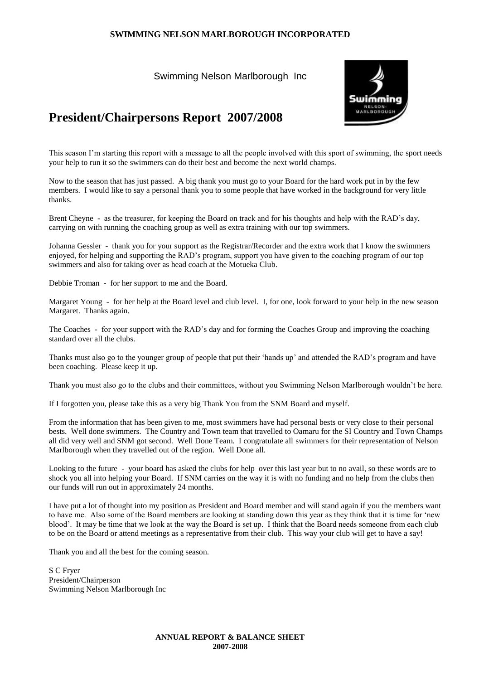Swimming Nelson Marlborough Inc



### **President/Chairpersons Report 2007/2008**

This season I'm starting this report with a message to all the people involved with this sport of swimming, the sport needs your help to run it so the swimmers can do their best and become the next world champs.

Now to the season that has just passed. A big thank you must go to your Board for the hard work put in by the few members. I would like to say a personal thank you to some people that have worked in the background for very little thanks.

Brent Cheyne - as the treasurer, for keeping the Board on track and for his thoughts and help with the RAD's day, carrying on with running the coaching group as well as extra training with our top swimmers.

Johanna Gessler - thank you for your support as the Registrar/Recorder and the extra work that I know the swimmers enjoyed, for helping and supporting the RAD's program, support you have given to the coaching program of our top swimmers and also for taking over as head coach at the Motueka Club.

Debbie Troman - for her support to me and the Board.

Margaret Young - for her help at the Board level and club level. I, for one, look forward to your help in the new season Margaret. Thanks again.

The Coaches - for your support with the RAD's day and for forming the Coaches Group and improving the coaching standard over all the clubs.

Thanks must also go to the younger group of people that put their 'hands up' and attended the RAD's program and have been coaching. Please keep it up.

Thank you must also go to the clubs and their committees, without you Swimming Nelson Marlborough wouldn't be here.

If I forgotten you, please take this as a very big Thank You from the SNM Board and myself.

From the information that has been given to me, most swimmers have had personal bests or very close to their personal bests. Well done swimmers. The Country and Town team that travelled to Oamaru for the SI Country and Town Champs all did very well and SNM got second. Well Done Team. I congratulate all swimmers for their representation of Nelson Marlborough when they travelled out of the region. Well Done all.

Looking to the future - your board has asked the clubs for help over this last year but to no avail, so these words are to shock you all into helping your Board. If SNM carries on the way it is with no funding and no help from the clubs then our funds will run out in approximately 24 months.

I have put a lot of thought into my position as President and Board member and will stand again if you the members want to have me. Also some of the Board members are looking at standing down this year as they think that it is time for 'new blood'. It may be time that we look at the way the Board is set up. I think that the Board needs someone from each club to be on the Board or attend meetings as a representative from their club. This way your club will get to have a say!

Thank you and all the best for the coming season.

S C Fryer President/Chairperson Swimming Nelson Marlborough Inc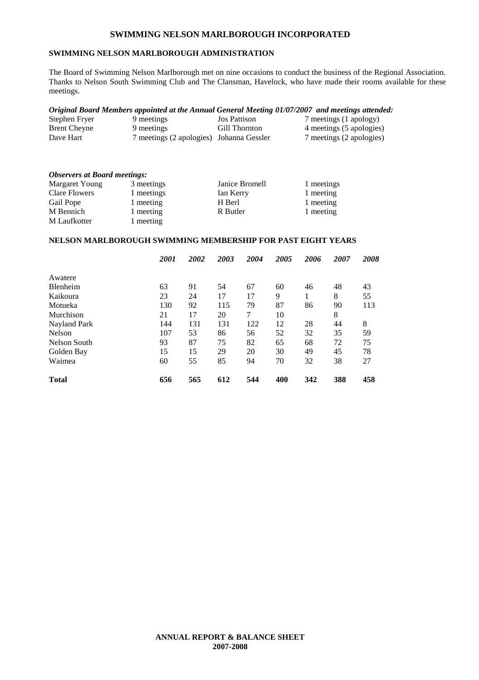### **SWIMMING NELSON MARLBOROUGH ADMINISTRATION**

The Board of Swimming Nelson Marlborough met on nine occasions to conduct the business of the Regional Association. Thanks to Nelson South Swimming Club and The Clansman, Havelock, who have made their rooms available for these meetings.

#### *Original Board Members appointed at the Annual General Meeting 01/07/2007 and meetings attended:*

| Stephen Fryer | 9 meetings                               | <b>Jos Pattison</b> | 7 meetings (1 apology)   |
|---------------|------------------------------------------|---------------------|--------------------------|
| Brent Cheyne  | 9 meetings                               | Gill Thornton       | 4 meetings (5 apologies) |
| Dave Hart     | 7 meetings (2 apologies) Johanna Gessler |                     | 7 meetings (2 apologies) |

| <b>Observers at Board meetings:</b> |            |                |            |  |  |  |
|-------------------------------------|------------|----------------|------------|--|--|--|
| <b>Margaret Young</b>               | 3 meetings | Janice Bromell | 1 meetings |  |  |  |
| Clare Flowers                       | 1 meetings | Ian Kerry      | 1 meeting  |  |  |  |
| Gail Pope                           | 1 meeting  | H Berl         | 1 meeting  |  |  |  |
| M Bennich                           | 1 meeting  | R Butler       | 1 meeting  |  |  |  |
| M Laufkotter                        | 1 meeting  |                |            |  |  |  |

### **NELSON MARLBOROUGH SWIMMING MEMBERSHIP FOR PAST EIGHT YEARS**

|                 | 2001 | 2002 | 2003 | 2004 | 2005 | 2006 | 2007 | 2008 |
|-----------------|------|------|------|------|------|------|------|------|
| Awatere         |      |      |      |      |      |      |      |      |
| <b>Blenheim</b> | 63   | 91   | 54   | 67   | 60   | 46   | 48   | 43   |
| Kaikoura        | 23   | 24   | 17   | 17   | 9    |      | 8    | 55   |
| Motueka         | 130  | 92   | 115  | 79   | 87   | 86   | 90   | 113  |
| Murchison       | 21   | 17   | 20   | 7    | 10   |      | 8    |      |
| Nayland Park    | 144  | 131  | 131  | 122  | 12   | 28   | 44   | 8    |
| <b>Nelson</b>   | 107  | 53   | 86   | 56   | 52   | 32   | 35   | 59   |
| Nelson South    | 93   | 87   | 75   | 82   | 65   | 68   | 72   | 75   |
| Golden Bay      | 15   | 15   | 29   | 20   | 30   | 49   | 45   | 78   |
| Waimea          | 60   | 55   | 85   | 94   | 70   | 32   | 38   | 27   |
| <b>Total</b>    | 656  | 565  | 612  | 544  | 400  | 342  | 388  | 458  |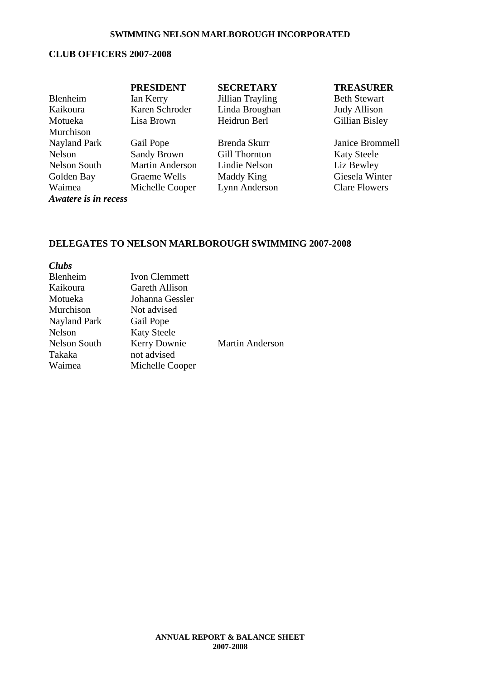### **CLUB OFFICERS 2007-2008**

|                      | <b>PRESIDENT</b>       | <b>SECRETARY</b> | <b>TREASURER</b>     |
|----------------------|------------------------|------------------|----------------------|
| Blenheim             | Ian Kerry              | Jillian Trayling | <b>Beth Stewart</b>  |
| Kaikoura             | Karen Schroder         | Linda Broughan   | <b>Judy Allison</b>  |
| Motueka              | Lisa Brown             | Heidrun Berl     | Gillian Bisley       |
| Murchison            |                        |                  |                      |
| Nayland Park         | Gail Pope              | Brenda Skurr     | Janice Brommell      |
| Nelson               | <b>Sandy Brown</b>     | Gill Thornton    | <b>Katy Steele</b>   |
| Nelson South         | <b>Martin Anderson</b> | Lindie Nelson    | Liz Bewley           |
| Golden Bay           | Graeme Wells           | Maddy King       | Giesela Winter       |
| Waimea               | Michelle Cooper        | Lynn Anderson    | <b>Clare Flowers</b> |
| Awatere is in recess |                        |                  |                      |

### **DELEGATES TO NELSON MARLBOROUGH SWIMMING 2007-2008**

| Clubs        |                      |                        |
|--------------|----------------------|------------------------|
| Blenheim     | <b>Ivon Clemmett</b> |                        |
| Kaikoura     | Gareth Allison       |                        |
| Motueka      | Johanna Gessler      |                        |
| Murchison    | Not advised          |                        |
| Nayland Park | Gail Pope            |                        |
| Nelson       | <b>Katy Steele</b>   |                        |
| Nelson South | Kerry Downie         | <b>Martin Anderson</b> |
| Takaka       | not advised          |                        |
| Waimea       | Michelle Cooper      |                        |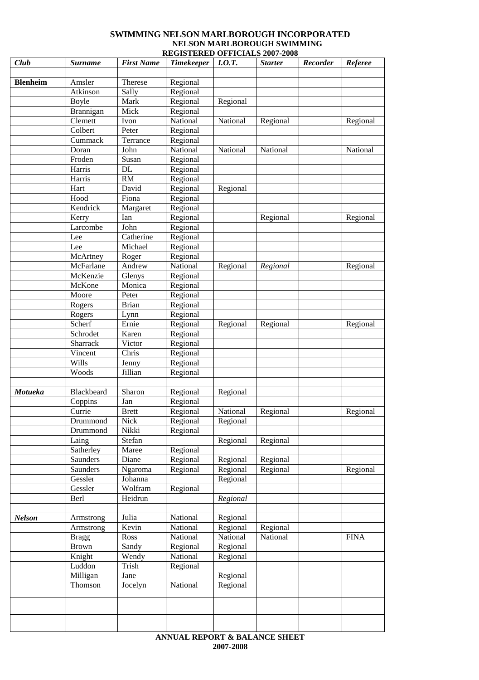### **SWIMMING NELSON MARLBOROUGH INCORPORATED NELSON MARLBOROUGH SWIMMING REGISTERED OFFICIALS 2007-2008**

| Club            | <b>Surname</b>    | <b>First Name</b>  | <b>Timekeeper</b> | I.0.T.               | <b>Starter</b> | Recorder | Referee     |
|-----------------|-------------------|--------------------|-------------------|----------------------|----------------|----------|-------------|
|                 |                   |                    |                   |                      |                |          |             |
| <b>Blenheim</b> | Amsler            | Therese            | Regional          |                      |                |          |             |
|                 | Atkinson          | Sally              | Regional          |                      |                |          |             |
|                 | <b>Boyle</b>      | Mark               | Regional          | Regional             |                |          |             |
|                 | Brannigan         | Mick               | Regional          |                      |                |          |             |
|                 | Clemett           | Ivon               | National          | National             | Regional       |          | Regional    |
|                 | Colbert           | Peter              | Regional          |                      |                |          |             |
|                 | Cummack           | Terrance           | Regional          |                      |                |          |             |
|                 | Doran             | John               | National          | National             | National       |          | National    |
|                 | Froden            | Susan              | Regional          |                      |                |          |             |
|                 | Harris            | DL                 | Regional          |                      |                |          |             |
|                 | Harris            | RM                 | Regional          |                      |                |          |             |
|                 | Hart              | David              | Regional          | Regional             |                |          |             |
|                 | Hood              | Fiona              | Regional          |                      |                |          |             |
|                 | Kendrick          | Margaret           | Regional          |                      |                |          |             |
|                 | Kerry             | Ian                | Regional          |                      | Regional       |          | Regional    |
|                 | Larcombe          | John               | Regional          |                      |                |          |             |
|                 | Lee               | Catherine          | Regional          |                      |                |          |             |
|                 | Lee               | Michael            | Regional          |                      |                |          |             |
|                 | McArtney          | Roger              | Regional          |                      |                |          |             |
|                 | McFarlane         | Andrew             | National          | Regional             | Regional       |          | Regional    |
|                 | McKenzie          | Glenys             | Regional          |                      |                |          |             |
|                 | McKone            | Monica             | Regional          |                      |                |          |             |
|                 | Moore             | Peter              | Regional          |                      |                |          |             |
|                 | Rogers            | <b>Brian</b>       | Regional          |                      |                |          |             |
|                 | Rogers            | Lynn               | Regional          |                      |                |          |             |
|                 | Scherf            | Ernie              | Regional          | Regional             | Regional       |          | Regional    |
|                 | Schrodet          | Karen              | Regional          |                      |                |          |             |
|                 | Sharrack          | Victor             | Regional          |                      |                |          |             |
|                 | Vincent           | Chris              | Regional          |                      |                |          |             |
|                 | Wills             | Jenny              | Regional          |                      |                |          |             |
|                 | Woods             | Jillian            | Regional          |                      |                |          |             |
|                 |                   |                    |                   |                      |                |          |             |
| Motueka         | Blackbeard        | Sharon             | Regional          | Regional             |                |          |             |
|                 | Coppins           | Jan                | Regional          |                      |                |          |             |
|                 | Currie            | <b>Brett</b>       | Regional          | National             | Regional       |          | Regional    |
|                 | Drummond          | Nick               | Regional          | Regional             |                |          |             |
|                 | Drummond<br>Laing | Nikki              | Regional          |                      | Regional       |          |             |
|                 | Satherley         | Stefan             |                   | Regional             |                |          |             |
|                 | Saunders          | Maree<br>Diane     | Regional          |                      |                |          |             |
|                 | Saunders          |                    | Regional          | Regional             | Regional       |          |             |
|                 | Gessler           | Ngaroma<br>Johanna | Regional          | Regional<br>Regional | Regional       |          | Regional    |
|                 | Gessler           | Wolfram            | Regional          |                      |                |          |             |
|                 | Berl              | Heidrun            |                   | Regional             |                |          |             |
|                 |                   |                    |                   |                      |                |          |             |
| <b>Nelson</b>   | Armstrong         | Julia              | National          | Regional             |                |          |             |
|                 | Armstrong         | Kevin              | National          | Regional             | Regional       |          |             |
|                 | <b>Bragg</b>      | Ross               | National          | National             | National       |          | <b>FINA</b> |
|                 | <b>Brown</b>      | Sandy              | Regional          | Regional             |                |          |             |
|                 | Knight            | Wendy              | National          | Regional             |                |          |             |
|                 | Luddon            | Trish              | Regional          |                      |                |          |             |
|                 | Milligan          | Jane               |                   | Regional             |                |          |             |
|                 | Thomson           | Jocelyn            | National          | Regional             |                |          |             |
|                 |                   |                    |                   |                      |                |          |             |
|                 |                   |                    |                   |                      |                |          |             |
|                 |                   |                    |                   |                      |                |          |             |
|                 |                   |                    |                   |                      |                |          |             |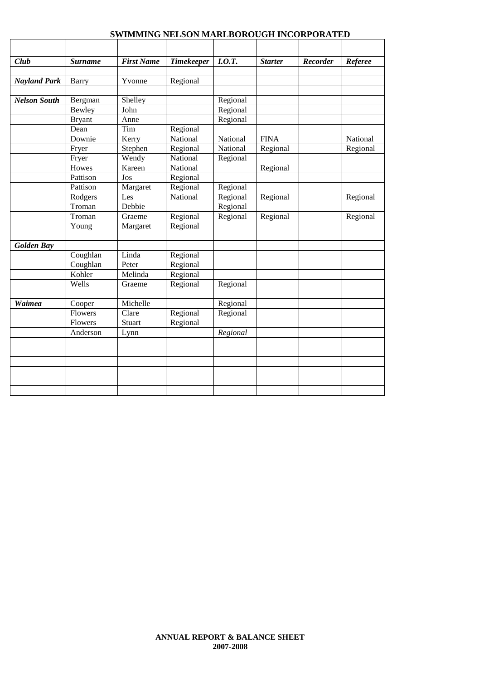| Club                | <b>Surname</b> | <b>First Name</b> | <b>Timekeeper</b> | I.O.T.   | <b>Starter</b> | <b>Recorder</b> | Referee  |
|---------------------|----------------|-------------------|-------------------|----------|----------------|-----------------|----------|
|                     |                |                   |                   |          |                |                 |          |
| <b>Nayland Park</b> | Barry          | Yvonne            | Regional          |          |                |                 |          |
| <b>Nelson South</b> | Bergman        | Shelley           |                   | Regional |                |                 |          |
|                     | Bewley         | John              |                   | Regional |                |                 |          |
|                     | <b>Bryant</b>  | Anne              |                   | Regional |                |                 |          |
|                     | Dean           | Tim               | Regional          |          |                |                 |          |
|                     | Downie         | Kerry             | National          | National | <b>FINA</b>    |                 | National |
|                     | Fryer          | Stephen           | Regional          | National | Regional       |                 | Regional |
|                     | Fryer          | Wendy             | National          | Regional |                |                 |          |
|                     | Howes          | Kareen            | National          |          | Regional       |                 |          |
|                     | Pattison       | Jos               | Regional          |          |                |                 |          |
|                     | Pattison       | Margaret          | Regional          | Regional |                |                 |          |
|                     | Rodgers        | Les               | National          | Regional | Regional       |                 | Regional |
|                     | Troman         | Debbie            |                   | Regional |                |                 |          |
|                     | Troman         | Graeme            | Regional          | Regional | Regional       |                 | Regional |
|                     | Young          | Margaret          | Regional          |          |                |                 |          |
|                     |                |                   |                   |          |                |                 |          |
| <b>Golden Bay</b>   |                |                   |                   |          |                |                 |          |
|                     | Coughlan       | Linda             | Regional          |          |                |                 |          |
|                     | Coughlan       | Peter             | Regional          |          |                |                 |          |
|                     | Kohler         | Melinda           | Regional          |          |                |                 |          |
|                     | Wells          | Graeme            | Regional          | Regional |                |                 |          |
|                     |                |                   |                   |          |                |                 |          |
| Waimea              | Cooper         | Michelle          |                   | Regional |                |                 |          |
|                     | Flowers        | Clare             | Regional          | Regional |                |                 |          |
|                     | Flowers        | Stuart            | Regional          |          |                |                 |          |
|                     | Anderson       | Lynn              |                   | Regional |                |                 |          |
|                     |                |                   |                   |          |                |                 |          |
|                     |                |                   |                   |          |                |                 |          |
|                     |                |                   |                   |          |                |                 |          |
|                     |                |                   |                   |          |                |                 |          |
|                     |                |                   |                   |          |                |                 |          |
|                     |                |                   |                   |          |                |                 |          |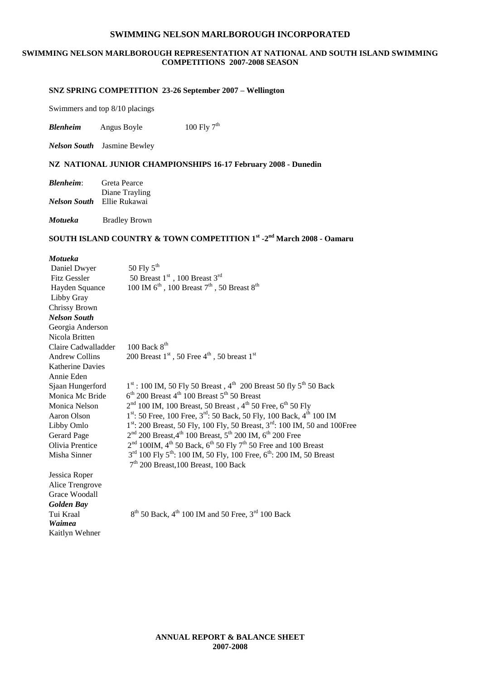### **SWIMMING NELSON MARLBOROUGH REPRESENTATION AT NATIONAL AND SOUTH ISLAND SWIMMING COMPETITIONS 2007-2008 SEASON**

### **SNZ SPRING COMPETITION 23-26 September 2007 – Wellington**

Swimmers and top 8/10 placings

*Blenheim* Angus Boyle  $100 \text{ Fly } 7^{\text{th}}$ 

*Nelson South* Jasmine Bewley

### **NZ NATIONAL JUNIOR CHAMPIONSHIPS 16-17 February 2008 - Dunedin**

| <b>Blenheim:</b> | Greta Pearce                      |
|------------------|-----------------------------------|
|                  | Diane Trayling                    |
|                  | <i>Nelson South</i> Ellie Rukawai |

*Motueka* Bradley Brown

### **SOUTH ISLAND COUNTRY & TOWN COMPETITION 1st -2 nd March 2008 - Oamaru**

#### *Motueka*

| Daniel Dwyer          | 50 Fly $5^{th}$                                                                                     |
|-----------------------|-----------------------------------------------------------------------------------------------------|
| Fitz Gessler          | 50 Breast $1st$ , 100 Breast $3rd$                                                                  |
| Hayden Squance        | 100 IM $6^{th}$ , 100 Breast $7^{th}$ , 50 Breast $8^{th}$                                          |
| Libby Gray            |                                                                                                     |
| Chrissy Brown         |                                                                                                     |
| <b>Nelson South</b>   |                                                                                                     |
| Georgia Anderson      |                                                                                                     |
| Nicola Britten        |                                                                                                     |
| Claire Cadwalladder   | 100 Back $8th$                                                                                      |
| <b>Andrew Collins</b> | 200 Breast $1st$ , 50 Free $4th$ , 50 breast $1st$                                                  |
| Katherine Davies      |                                                                                                     |
| Annie Eden            |                                                                                                     |
| Sjaan Hungerford      | $1st$ : 100 IM, 50 Fly 50 Breast, 4 <sup>th</sup> 200 Breast 50 fly 5 <sup>th</sup> 50 Back         |
| Monica Mc Bride       | $6th$ 200 Breast 4 <sup>th</sup> 100 Breast 5 <sup>th</sup> 50 Breast                               |
| Monica Nelson         | $2nd$ 100 IM, 100 Breast, 50 Breast, 4 <sup>th</sup> 50 Free, 6 <sup>th</sup> 50 Fly                |
| Aaron Olson           | 1st: 50 Free, 100 Free, 3rd: 50 Back, 50 Fly, 100 Back, 4th 100 IM                                  |
| Libby Omlo            | $1st$ : 200 Breast, 50 Fly, 100 Fly, 50 Breast, $3rd$ : 100 IM, 50 and 100Free                      |
| Gerard Page           | $2nd$ 200 Breast, 4 <sup>th</sup> 100 Breast, 5 <sup>th</sup> 200 IM, 6 <sup>th</sup> 200 Free      |
| Olivia Prentice       | $2nd$ 100IM, 4 <sup>th</sup> 50 Back, 6 <sup>th</sup> 50 Fly 7 <sup>th</sup> 50 Free and 100 Breast |
| Misha Sinner          | $3^{rd}$ 100 Fly $5^{th}$ : 100 IM, 50 Fly, 100 Free, $6^{th}$ : 200 IM, 50 Breast                  |
|                       | $7th$ 200 Breast, 100 Breast, 100 Back                                                              |
| Jessica Roper         |                                                                                                     |
| Alice Trengrove       |                                                                                                     |
| Grace Woodall         |                                                                                                     |
| <b>Golden Bay</b>     |                                                                                                     |
| Tui Kraal             | $8th$ 50 Back, 4 <sup>th</sup> 100 IM and 50 Free, 3 <sup>rd</sup> 100 Back                         |
| Waimea                |                                                                                                     |
| Kaitlyn Wehner        |                                                                                                     |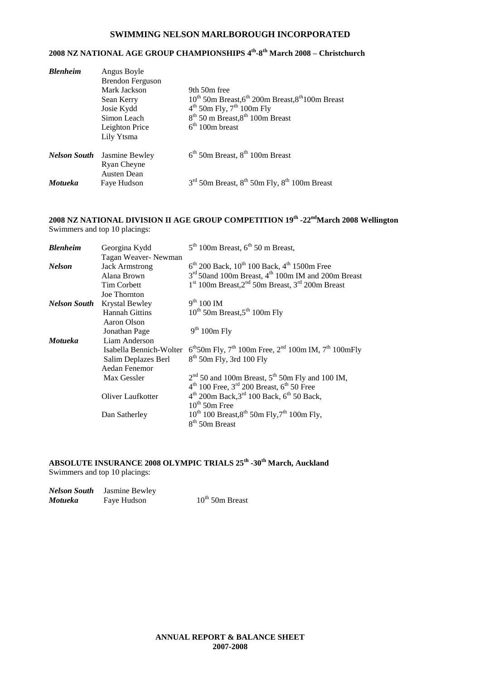### **2008 NZ NATIONAL AGE GROUP CHAMPIONSHIPS 4 th -8 th March 2008 – Christchurch**

| <b>Blenheim</b>     | Angus Boyle<br><b>Brendon Ferguson</b><br>Mark Jackson<br>Sean Kerry<br>Josie Kydd<br>Simon Leach<br>Leighton Price<br>Lily Ytsma | 9th 50m free<br>$10^{th}$ 50m Breast, 6 <sup>th</sup> 200m Breast, 8 <sup>th</sup> 100m Breast<br>$4th$ 50m Fly, $7th$ 100m Fly<br>$8th$ 50 m Breast, $8th$ 100m Breast<br>$6th 100m$ breast |
|---------------------|-----------------------------------------------------------------------------------------------------------------------------------|----------------------------------------------------------------------------------------------------------------------------------------------------------------------------------------------|
| <b>Nelson South</b> | Jasmine Bewley<br>Ryan Cheyne                                                                                                     | $6th$ 50m Breast, $8th$ 100m Breast                                                                                                                                                          |
| Motueka             | <b>Austen Dean</b><br>Faye Hudson                                                                                                 | $3rd$ 50m Breast, $8th$ 50m Fly, $8th$ 100m Breast                                                                                                                                           |

#### **2008 NZ NATIONAL DIVISION II AGE GROUP COMPETITION 19th -22ndMarch 2008 Wellington** Swimmers and top 10 placings:

| <b>Blenheim</b>     | Georgina Kydd           | $5th$ 100m Breast, $6th$ 50 m Breast,                                                                       |
|---------------------|-------------------------|-------------------------------------------------------------------------------------------------------------|
|                     | Tagan Weaver- Newman    |                                                                                                             |
| <b>Nelson</b>       | <b>Jack Armstrong</b>   | $6th$ 200 Back, 10 <sup>th</sup> 100 Back, 4 <sup>th</sup> 1500m Free                                       |
|                     | Alana Brown             | $3rd$ 50 and 100m Breast, 4 <sup>th</sup> 100m IM and 200m Breast                                           |
|                     | <b>Tim Corbett</b>      | $1st 100m$ Breast, $2nd 50m$ Breast, $3rd 200m$ Breast                                                      |
|                     | <b>Joe Thornton</b>     |                                                                                                             |
| <b>Nelson South</b> | <b>Krystal Bewley</b>   | $9^{th}$ 100 IM                                                                                             |
|                     | <b>Hannah Gittins</b>   | $10^{th}$ 50m Breast, 5 <sup>th</sup> 100m Fly                                                              |
|                     | Aaron Olson             |                                                                                                             |
|                     | Jonathan Page           | 9 <sup>th</sup> 100m Fly                                                                                    |
| <b>Motueka</b>      | Liam Anderson           |                                                                                                             |
|                     | Isabella Bennich-Wolter | $6^{\text{th}}50\text{m}$ Fly, $7^{\text{th}}$ 100m Free, $2^{\text{nd}}$ 100m IM, $7^{\text{th}}$ 100m Fly |
|                     | Salim Deplazes Berl     | $8th$ 50m Fly, 3rd 100 Fly                                                                                  |
|                     | Aedan Fenemor           |                                                                                                             |
|                     | Max Gessler             | $2nd$ 50 and 100m Breast, 5 <sup>th</sup> 50m Fly and 100 IM,                                               |
|                     |                         | $4th$ 100 Free, $3rd$ 200 Breast, $6th$ 50 Free                                                             |
|                     | Oliver Laufkotter       | $4^{th}$ 200m Back, $3^{rd}$ 100 Back, $6^{th}$ 50 Back,                                                    |
|                     |                         | $10^{th}$ 50m Free                                                                                          |
|                     | Dan Satherley           | $10^{th}$ 100 Breast, 8 <sup>th</sup> 50m Fly, 7 <sup>th</sup> 100m Fly,                                    |
|                     |                         | $8th$ 50m Breast                                                                                            |

#### **ABSOLUTE INSURANCE 2008 OLYMPIC TRIALS 25th -30th March, Auckland**  Swimmers and top 10 placings:

| Nelson South | Jasmine Bewley |                      |
|--------------|----------------|----------------------|
| Motueka      | Faye Hudson    | $10^{th}$ 50m Breast |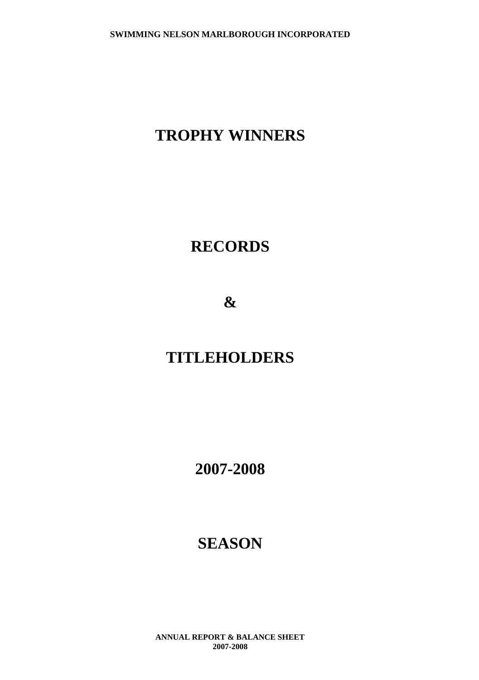## **TROPHY WINNERS**

## **RECORDS**

**&**

## **TITLEHOLDERS**

**2007-2008**

## **SEASON**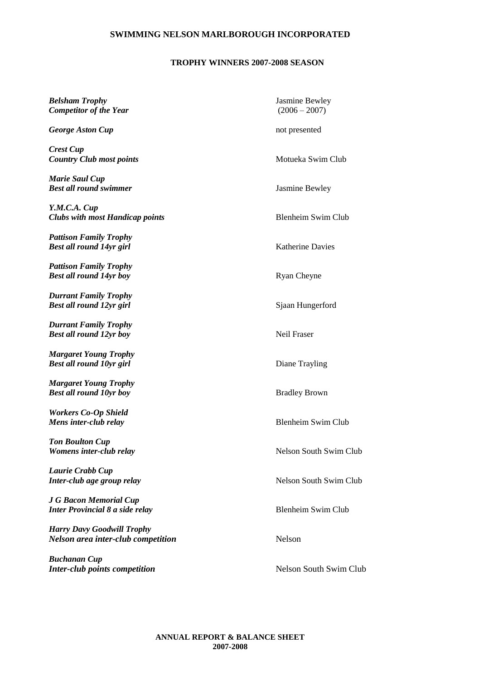### **TROPHY WINNERS 2007-2008 SEASON**

| <b>Belsham Trophy</b><br><b>Competitor of the Year</b>                         | Jasmine Bewley<br>$(2006 - 2007)$ |
|--------------------------------------------------------------------------------|-----------------------------------|
| <b>George Aston Cup</b>                                                        | not presented                     |
| <b>Crest Cup</b><br><b>Country Club most points</b>                            | Motueka Swim Club                 |
| <b>Marie Saul Cup</b><br><b>Best all round swimmer</b>                         | Jasmine Bewley                    |
| Y.M.C.A. Cup<br><b>Clubs with most Handicap points</b>                         | <b>Blenheim Swim Club</b>         |
| <b>Pattison Family Trophy</b><br><b>Best all round 14yr girl</b>               | <b>Katherine Davies</b>           |
| <b>Pattison Family Trophy</b><br><b>Best all round 14yr boy</b>                | <b>Ryan Cheyne</b>                |
| <b>Durrant Family Trophy</b><br><b>Best all round 12yr girl</b>                | Sjaan Hungerford                  |
| <b>Durrant Family Trophy</b><br><b>Best all round 12yr boy</b>                 | Neil Fraser                       |
| <b>Margaret Young Trophy</b><br><b>Best all round 10yr girl</b>                | Diane Trayling                    |
| <b>Margaret Young Trophy</b><br><b>Best all round 10yr boy</b>                 | <b>Bradley Brown</b>              |
| <b>Workers Co-Op Shield</b><br>Mens inter-club relay                           | <b>Blenheim Swim Club</b>         |
| <b>Ton Boulton Cup</b><br>Womens inter-club relay                              | Nelson South Swim Club            |
| Laurie Crabb Cup<br>Inter-club age group relay                                 | <b>Nelson South Swim Club</b>     |
| <b>J G Bacon Memorial Cup</b><br><b>Inter Provincial 8 a side relay</b>        | <b>Blenheim Swim Club</b>         |
| <b>Harry Davy Goodwill Trophy</b><br><b>Nelson area inter-club competition</b> | Nelson                            |
| <b>Buchanan Cup</b><br><b>Inter-club points competition</b>                    | Nelson South Swim Club            |
|                                                                                |                                   |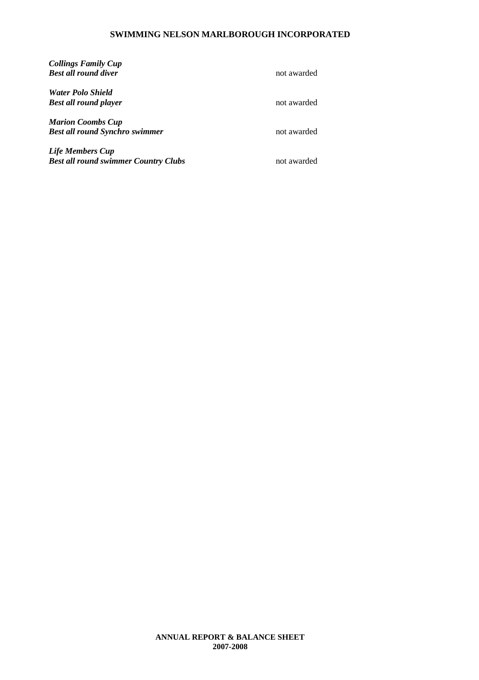| <b>Collings Family Cup</b><br><b>Best all round diver</b>              | not awarded |
|------------------------------------------------------------------------|-------------|
| <b>Water Polo Shield</b><br><b>Best all round player</b>               | not awarded |
| <b>Marion Coombs Cup</b><br><b>Best all round Synchro swimmer</b>      | not awarded |
| <b>Life Members Cup</b><br><b>Best all round swimmer Country Clubs</b> | not awarded |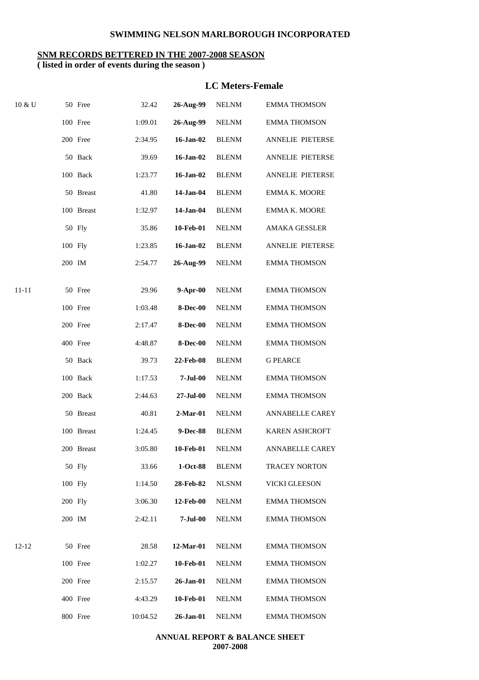### **SNM RECORDS BETTERED IN THE 2007-2008 SEASON**

**( listed in order of events during the season )**

### **LC Meters-Female**

| 10 & U    | 50 Free    | 32.42    | 26-Aug-99       | <b>NELNM</b> | <b>EMMA THOMSON</b>    |
|-----------|------------|----------|-----------------|--------------|------------------------|
|           | 100 Free   | 1:09.01  | 26-Aug-99       | <b>NELNM</b> | <b>EMMA THOMSON</b>    |
|           | 200 Free   | 2:34.95  | 16-Jan-02       | <b>BLENM</b> | ANNELIE PIETERSE       |
|           | 50 Back    | 39.69    | 16-Jan-02       | <b>BLENM</b> | ANNELIE PIETERSE       |
|           | 100 Back   | 1:23.77  | 16-Jan-02       | <b>BLENM</b> | ANNELIE PIETERSE       |
|           | 50 Breast  | 41.80    | 14-Jan-04       | <b>BLENM</b> | EMMA K. MOORE          |
|           | 100 Breast | 1:32.97  | 14-Jan-04       | <b>BLENM</b> | EMMA K. MOORE          |
|           | 50 Fly     | 35.86    | 10-Feb-01       | <b>NELNM</b> | AMAKA GESSLER          |
|           | 100 Fly    | 1:23.85  | 16-Jan-02       | <b>BLENM</b> | ANNELIE PIETERSE       |
|           | 200 IM     | 2:54.77  | 26-Aug-99       | <b>NELNM</b> | <b>EMMA THOMSON</b>    |
| $11 - 11$ | 50 Free    | 29.96    | $9-Apr-00$      | <b>NELNM</b> | <b>EMMA THOMSON</b>    |
|           | 100 Free   | 1:03.48  | <b>8-Dec-00</b> | <b>NELNM</b> | <b>EMMA THOMSON</b>    |
|           | 200 Free   | 2:17.47  | <b>8-Dec-00</b> | <b>NELNM</b> | <b>EMMA THOMSON</b>    |
|           | 400 Free   | 4:48.87  | <b>8-Dec-00</b> | <b>NELNM</b> | <b>EMMA THOMSON</b>    |
|           | 50 Back    | 39.73    | 22-Feb-08       | <b>BLENM</b> | <b>G PEARCE</b>        |
|           | 100 Back   | 1:17.53  | $7-Jul-00$      | <b>NELNM</b> | <b>EMMA THOMSON</b>    |
|           | 200 Back   | 2:44.63  | 27-Jul-00       | <b>NELNM</b> | <b>EMMA THOMSON</b>    |
|           | 50 Breast  | 40.81    | $2-Mar-01$      | <b>NELNM</b> | <b>ANNABELLE CAREY</b> |
|           | 100 Breast | 1:24.45  | 9-Dec-88        | <b>BLENM</b> | KAREN ASHCROFT         |
|           | 200 Breast | 3:05.80  | 10-Feb-01       | <b>NELNM</b> | <b>ANNABELLE CAREY</b> |
|           | 50 Fly     | 33.66    | 1-Oct-88        | <b>BLENM</b> | <b>TRACEY NORTON</b>   |
|           | 100 Fly    | 1:14.50  | 28-Feb-82       | <b>NLSNM</b> | <b>VICKI GLEESON</b>   |
|           | 200 Fly    | 3:06.30  | 12-Feb-00       | <b>NELNM</b> | <b>EMMA THOMSON</b>    |
|           | 200 IM     | 2:42.11  | $7-Jul-00$      | <b>NELNM</b> | <b>EMMA THOMSON</b>    |
| $12 - 12$ | 50 Free    | 28.58    | 12-Mar-01       | <b>NELNM</b> | <b>EMMA THOMSON</b>    |
|           | 100 Free   | 1:02.27  | 10-Feb-01       | <b>NELNM</b> | <b>EMMA THOMSON</b>    |
|           | 200 Free   | 2:15.57  | 26-Jan-01       | <b>NELNM</b> | <b>EMMA THOMSON</b>    |
|           | 400 Free   | 4:43.29  | 10-Feb-01       | <b>NELNM</b> | <b>EMMA THOMSON</b>    |
|           | 800 Free   | 10:04.52 | 26-Jan-01       | <b>NELNM</b> | <b>EMMA THOMSON</b>    |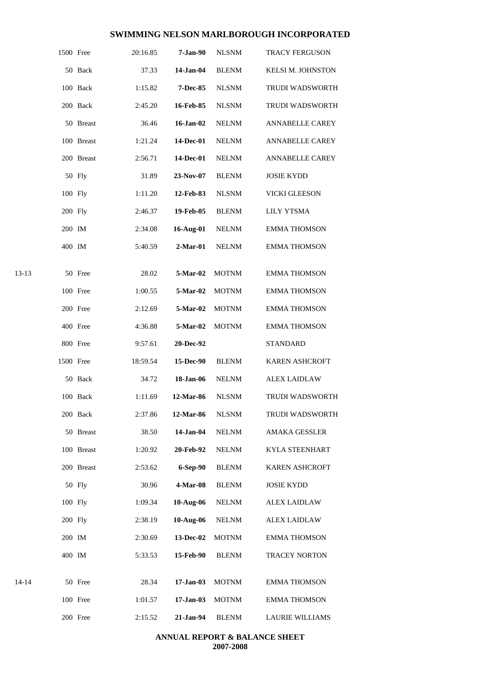|       | 1500 Free |            | 20:16.85 | $7-Jan-90$      | <b>NLSNM</b> | TRACY FERGUSON         |
|-------|-----------|------------|----------|-----------------|--------------|------------------------|
|       |           | 50 Back    | 37.33    | 14-Jan-04       | <b>BLENM</b> | KELSI M. JOHNSTON      |
|       |           | 100 Back   | 1:15.82  | <b>7-Dec-85</b> | <b>NLSNM</b> | TRUDI WADSWORTH        |
|       |           | 200 Back   | 2:45.20  | 16-Feb-85       | <b>NLSNM</b> | TRUDI WADSWORTH        |
|       |           | 50 Breast  | 36.46    | 16-Jan-02       | <b>NELNM</b> | <b>ANNABELLE CAREY</b> |
|       |           | 100 Breast | 1:21.24  | 14-Dec-01       | <b>NELNM</b> | <b>ANNABELLE CAREY</b> |
|       |           | 200 Breast | 2:56.71  | 14-Dec-01       | <b>NELNM</b> | <b>ANNABELLE CAREY</b> |
|       |           | 50 Fly     | 31.89    | 23-Nov-07       | <b>BLENM</b> | <b>JOSIE KYDD</b>      |
|       | 100 Fly   |            | 1:11.20  | 12-Feb-83       | <b>NLSNM</b> | VICKI GLEESON          |
|       | 200 Fly   |            | 2:46.37  | 19-Feb-05       | <b>BLENM</b> | <b>LILY YTSMA</b>      |
|       | 200 IM    |            | 2:34.08  | 16-Aug-01       | <b>NELNM</b> | <b>EMMA THOMSON</b>    |
|       | 400 IM    |            | 5:40.59  | $2-Mar-01$      | <b>NELNM</b> | <b>EMMA THOMSON</b>    |
| 13-13 |           | 50 Free    | 28.02    | 5-Mar-02        | <b>MOTNM</b> | <b>EMMA THOMSON</b>    |
|       |           | 100 Free   | 1:00.55  | 5-Mar-02        | <b>MOTNM</b> | <b>EMMA THOMSON</b>    |
|       |           | 200 Free   | 2:12.69  | 5-Mar-02        | <b>MOTNM</b> | <b>EMMA THOMSON</b>    |
|       |           | 400 Free   | 4:36.88  | 5-Mar-02        | <b>MOTNM</b> | <b>EMMA THOMSON</b>    |
|       |           | 800 Free   | 9:57.61  | 20-Dec-92       |              | <b>STANDARD</b>        |
|       | 1500 Free |            | 18:59.54 | 15-Dec-90       | <b>BLENM</b> | KAREN ASHCROFT         |
|       |           | 50 Back    | 34.72    | 18-Jan-06       | <b>NELNM</b> | <b>ALEX LAIDLAW</b>    |
|       |           | 100 Back   | 1:11.69  | 12-Mar-86       | <b>NLSNM</b> | <b>TRUDI WADSWORTH</b> |
|       |           | 200 Back   | 2:37.86  | 12-Mar-86       | <b>NLSNM</b> | TRUDI WADSWORTH        |
|       |           | 50 Breast  | 38.50    | 14-Jan-04       | <b>NELNM</b> | <b>AMAKA GESSLER</b>   |
|       |           | 100 Breast | 1:20.92  | 20-Feb-92       | <b>NELNM</b> | KYLA STEENHART         |
|       |           | 200 Breast | 2:53.62  | 6-Sep-90        | <b>BLENM</b> | <b>KAREN ASHCROFT</b>  |
|       |           | 50 Fly     | 30.96    | $4-Mar-08$      | <b>BLENM</b> | <b>JOSIE KYDD</b>      |
|       | 100 Fly   |            | 1:09.34  | $10-Aug-06$     | <b>NELNM</b> | <b>ALEX LAIDLAW</b>    |
|       |           |            |          |                 |              |                        |
|       | 200 Fly   |            | 2:38.19  | 10-Aug-06       | <b>NELNM</b> | <b>ALEX LAIDLAW</b>    |
|       | 200 IM    |            | 2:30.69  | 13-Dec-02       | <b>MOTNM</b> | <b>EMMA THOMSON</b>    |
|       | 400 IM    |            | 5:33.53  | 15-Feb-90       | <b>BLENM</b> | TRACEY NORTON          |
| 14-14 |           | 50 Free    | 28.34    | $17-Jan-03$     | <b>MOTNM</b> | <b>EMMA THOMSON</b>    |
|       |           | 100 Free   | 1:01.57  | $17-Jan-03$     | <b>MOTNM</b> | <b>EMMA THOMSON</b>    |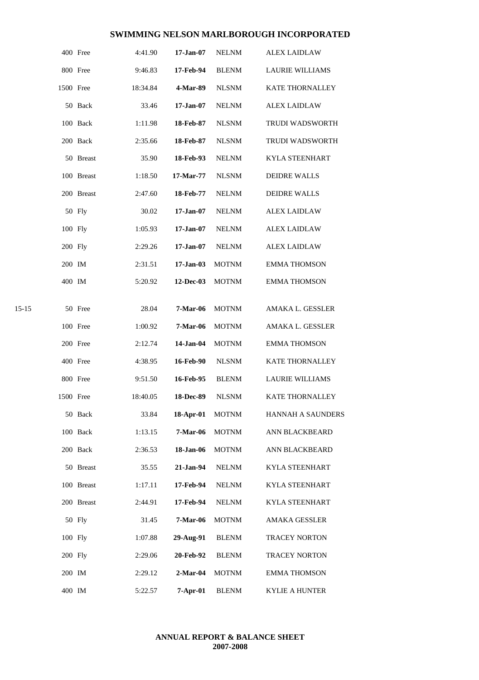|           |           | 400 Free   | 4:41.90  | 17-Jan-07       | <b>NELNM</b> | <b>ALEX LAIDLAW</b>    |
|-----------|-----------|------------|----------|-----------------|--------------|------------------------|
|           |           | 800 Free   | 9:46.83  | 17-Feb-94       | <b>BLENM</b> | <b>LAURIE WILLIAMS</b> |
|           | 1500 Free |            | 18:34.84 | 4-Mar-89        | <b>NLSNM</b> | KATE THORNALLEY        |
|           |           | 50 Back    | 33.46    | $17 - Jan-07$   | <b>NELNM</b> | <b>ALEX LAIDLAW</b>    |
|           |           | 100 Back   | 1:11.98  | 18-Feb-87       | <b>NLSNM</b> | <b>TRUDI WADSWORTH</b> |
|           |           | 200 Back   | 2:35.66  | 18-Feb-87       | <b>NLSNM</b> | <b>TRUDI WADSWORTH</b> |
|           |           | 50 Breast  | 35.90    | 18-Feb-93       | <b>NELNM</b> | <b>KYLA STEENHART</b>  |
|           |           | 100 Breast | 1:18.50  | 17-Mar-77       | <b>NLSNM</b> | <b>DEIDRE WALLS</b>    |
|           |           | 200 Breast | 2:47.60  | 18-Feb-77       | <b>NELNM</b> | <b>DEIDRE WALLS</b>    |
|           |           | 50 Fly     | 30.02    | $17 - Jan-07$   | <b>NELNM</b> | <b>ALEX LAIDLAW</b>    |
|           | 100 Fly   |            | 1:05.93  | $17 - Jan-07$   | <b>NELNM</b> | <b>ALEX LAIDLAW</b>    |
|           | 200 Fly   |            | 2:29.26  | $17 - Jan-07$   | <b>NELNM</b> | <b>ALEX LAIDLAW</b>    |
|           | 200 IM    |            | 2:31.51  | 17-Jan-03       | <b>MOTNM</b> | <b>EMMA THOMSON</b>    |
|           | 400 IM    |            | 5:20.92  | 12-Dec-03       | <b>MOTNM</b> | <b>EMMA THOMSON</b>    |
| $15 - 15$ |           | 50 Free    | 28.04    | <b>7-Mar-06</b> | <b>MOTNM</b> | AMAKA L. GESSLER       |
|           |           | 100 Free   | 1:00.92  | <b>7-Mar-06</b> | <b>MOTNM</b> | AMAKA L. GESSLER       |
|           |           | 200 Free   | 2:12.74  | 14-Jan-04       | <b>MOTNM</b> | <b>EMMA THOMSON</b>    |
|           |           | 400 Free   | 4:38.95  | 16-Feb-90       | <b>NLSNM</b> | KATE THORNALLEY        |
|           |           | 800 Free   | 9:51.50  | 16-Feb-95       | <b>BLENM</b> | LAURIE WILLIAMS        |
|           | 1500 Free |            | 18:40.05 | 18-Dec-89       | <b>NLSNM</b> | <b>KATE THORNALLEY</b> |
|           |           | 50 Back    | 33.84    | 18-Apr-01       | <b>MOTNM</b> | HANNAH A SAUNDERS      |
|           |           | 100 Back   | 1:13.15  | 7-Mar-06        | <b>MOTNM</b> | ANN BLACKBEARD         |
|           |           | 200 Back   | 2:36.53  | 18-Jan-06       | <b>MOTNM</b> | ANN BLACKBEARD         |
|           |           | 50 Breast  | 35.55    | 21-Jan-94       | <b>NELNM</b> | <b>KYLA STEENHART</b>  |
|           |           | 100 Breast | 1:17.11  | 17-Feb-94       | <b>NELNM</b> | KYLA STEENHART         |
|           |           | 200 Breast | 2:44.91  | 17-Feb-94       | <b>NELNM</b> | <b>KYLA STEENHART</b>  |
|           |           | 50 Fly     | 31.45    | 7-Mar-06        | <b>MOTNM</b> | AMAKA GESSLER          |
|           | 100 Fly   |            | 1:07.88  | 29-Aug-91       | <b>BLENM</b> | <b>TRACEY NORTON</b>   |
|           | 200 Fly   |            | 2:29.06  | 20-Feb-92       | <b>BLENM</b> | TRACEY NORTON          |
|           | 200 IM    |            | 2:29.12  | $2-Mar-04$      | <b>MOTNM</b> | <b>EMMA THOMSON</b>    |
|           | 400 IM    |            | 5:22.57  | $7-Apr-01$      | <b>BLENM</b> | KYLIE A HUNTER         |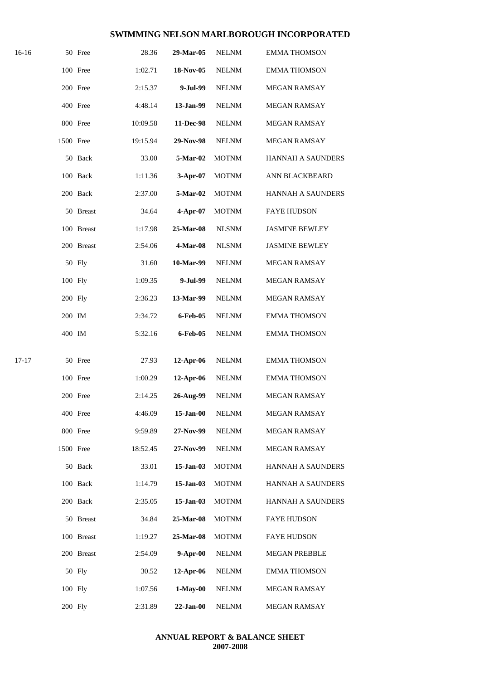| 16-16     |           | 50 Free    | 28.36    | 29-Mar-05    | <b>NELNM</b> | <b>EMMA THOMSON</b>      |
|-----------|-----------|------------|----------|--------------|--------------|--------------------------|
|           |           | 100 Free   | 1:02.71  | 18-Nov-05    | <b>NELNM</b> | <b>EMMA THOMSON</b>      |
|           |           | 200 Free   | 2:15.37  | 9-Jul-99     | <b>NELNM</b> | <b>MEGAN RAMSAY</b>      |
|           |           | 400 Free   | 4:48.14  | 13-Jan-99    | <b>NELNM</b> | MEGAN RAMSAY             |
|           |           | 800 Free   | 10:09.58 | 11-Dec-98    | <b>NELNM</b> | <b>MEGAN RAMSAY</b>      |
|           | 1500 Free |            | 19:15.94 | 29-Nov-98    | <b>NELNM</b> | <b>MEGAN RAMSAY</b>      |
|           |           | 50 Back    | 33.00    | 5-Mar-02     | <b>MOTNM</b> | HANNAH A SAUNDERS        |
|           |           | 100 Back   | 1:11.36  | 3-Apr-07     | <b>MOTNM</b> | ANN BLACKBEARD           |
|           |           | 200 Back   | 2:37.00  | 5-Mar-02     | <b>MOTNM</b> | HANNAH A SAUNDERS        |
|           |           | 50 Breast  | 34.64    | 4-Apr-07     | <b>MOTNM</b> | <b>FAYE HUDSON</b>       |
|           |           | 100 Breast | 1:17.98  | 25-Mar-08    | <b>NLSNM</b> | <b>JASMINE BEWLEY</b>    |
|           |           | 200 Breast | 2:54.06  | 4-Mar-08     | <b>NLSNM</b> | <b>JASMINE BEWLEY</b>    |
|           |           | 50 Fly     | 31.60    | 10-Mar-99    | <b>NELNM</b> | MEGAN RAMSAY             |
|           | 100 Fly   |            | 1:09.35  | 9-Jul-99     | <b>NELNM</b> | MEGAN RAMSAY             |
|           | 200 Fly   |            | 2:36.23  | 13-Mar-99    | <b>NELNM</b> | <b>MEGAN RAMSAY</b>      |
|           | 200 IM    |            | 2:34.72  | 6-Feb-05     | <b>NELNM</b> | <b>EMMA THOMSON</b>      |
|           | 400 IM    |            | 5:32.16  | 6-Feb-05     | <b>NELNM</b> | <b>EMMA THOMSON</b>      |
| $17 - 17$ |           | 50 Free    | 27.93    | 12-Apr-06    | <b>NELNM</b> | <b>EMMA THOMSON</b>      |
|           |           | 100 Free   | 1:00.29  | 12-Apr-06    | <b>NELNM</b> | <b>EMMA THOMSON</b>      |
|           |           | 200 Free   | 2:14.25  | 26-Aug-99    | <b>NELNM</b> | <b>MEGAN RAMSAY</b>      |
|           |           | 400 Free   | 4:46.09  | $15$ -Jan-00 | <b>NELNM</b> | MEGAN RAMSAY             |
|           |           | 800 Free   | 9:59.89  | 27-Nov-99    | <b>NELNM</b> | MEGAN RAMSAY             |
|           | 1500 Free |            | 18:52.45 | 27-Nov-99    | <b>NELNM</b> | <b>MEGAN RAMSAY</b>      |
|           |           | 50 Back    | 33.01    | 15-Jan-03    | <b>MOTNM</b> | <b>HANNAH A SAUNDERS</b> |
|           |           | 100 Back   | 1:14.79  | 15-Jan-03    | <b>MOTNM</b> | <b>HANNAH A SAUNDERS</b> |
|           |           | 200 Back   | 2:35.05  | 15-Jan-03    | <b>MOTNM</b> | <b>HANNAH A SAUNDERS</b> |
|           |           | 50 Breast  | 34.84    | 25-Mar-08    | <b>MOTNM</b> | <b>FAYE HUDSON</b>       |
|           |           | 100 Breast | 1:19.27  | 25-Mar-08    | <b>MOTNM</b> | <b>FAYE HUDSON</b>       |
|           |           | 200 Breast | 2:54.09  | $9-Apr-00$   | <b>NELNM</b> | <b>MEGAN PREBBLE</b>     |
|           |           | 50 Fly     | 30.52    | $12-Apr-06$  | <b>NELNM</b> | <b>EMMA THOMSON</b>      |
|           | 100 Fly   |            | 1:07.56  | $1-May-00$   | <b>NELNM</b> | <b>MEGAN RAMSAY</b>      |
|           | 200 Fly   |            | 2:31.89  | $22-Jan-00$  | <b>NELNM</b> | MEGAN RAMSAY             |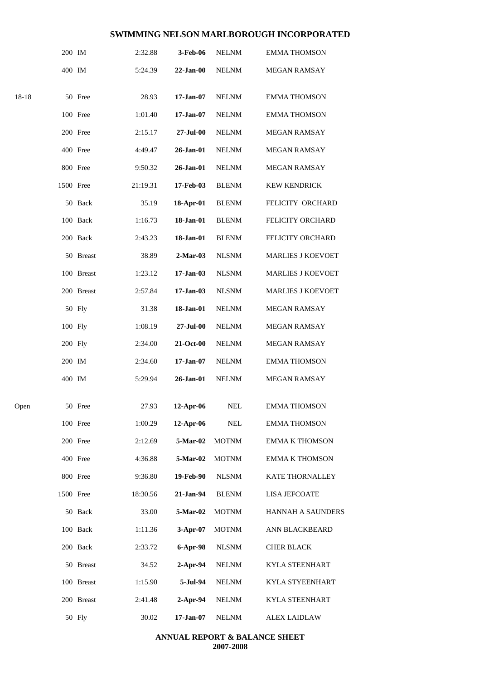|       | 200 IM    |            | 2:32.88  | 3-Feb-06             | <b>NELNM</b> | <b>EMMA THOMSON</b>      |
|-------|-----------|------------|----------|----------------------|--------------|--------------------------|
|       | 400 IM    |            | 5:24.39  | $22-Jan-00$          | <b>NELNM</b> | <b>MEGAN RAMSAY</b>      |
| 18-18 |           | 50 Free    | 28.93    | $17 - Jan-07$        | <b>NELNM</b> | <b>EMMA THOMSON</b>      |
|       |           | 100 Free   | 1:01.40  | $17 - Jan-07$        | <b>NELNM</b> | <b>EMMA THOMSON</b>      |
|       |           | 200 Free   | 2:15.17  | $27 - \text{Jul}-00$ | <b>NELNM</b> | <b>MEGAN RAMSAY</b>      |
|       |           | 400 Free   | 4:49.47  | 26-Jan-01            | <b>NELNM</b> | <b>MEGAN RAMSAY</b>      |
|       |           | 800 Free   | 9:50.32  | 26-Jan-01            | <b>NELNM</b> | <b>MEGAN RAMSAY</b>      |
|       | 1500 Free |            | 21:19.31 | 17-Feb-03            | <b>BLENM</b> | <b>KEW KENDRICK</b>      |
|       |           | 50 Back    | 35.19    | 18-Apr-01            | <b>BLENM</b> | FELICITY ORCHARD         |
|       |           | 100 Back   | 1:16.73  | 18-Jan-01            | <b>BLENM</b> | FELICITY ORCHARD         |
|       |           | 200 Back   | 2:43.23  | 18-Jan-01            | <b>BLENM</b> | FELICITY ORCHARD         |
|       |           | 50 Breast  | 38.89    | $2-Mar-03$           | <b>NLSNM</b> | <b>MARLIES J KOEVOET</b> |
|       |           | 100 Breast | 1:23.12  | $17-Jan-03$          | <b>NLSNM</b> | <b>MARLIES J KOEVOET</b> |
|       |           | 200 Breast | 2:57.84  | $17 - Jan-03$        | <b>NLSNM</b> | <b>MARLIES J KOEVOET</b> |
|       |           | 50 Fly     | 31.38    | 18-Jan-01            | <b>NELNM</b> | MEGAN RAMSAY             |
|       | 100 Fly   |            | 1:08.19  | $27 - \text{Jul}-00$ | <b>NELNM</b> | <b>MEGAN RAMSAY</b>      |
|       | 200 Fly   |            | 2:34.00  | 21-Oct-00            | <b>NELNM</b> | MEGAN RAMSAY             |
|       | 200 IM    |            | 2:34.60  | $17 - Jan-07$        | <b>NELNM</b> | <b>EMMA THOMSON</b>      |
|       | 400 IM    |            | 5:29.94  | $26$ -Jan- $01$      | <b>NELNM</b> | <b>MEGAN RAMSAY</b>      |
| Open  |           | 50 Free    | 27.93    | $12-Apr-06$          | <b>NEL</b>   | <b>EMMA THOMSON</b>      |
|       |           | 100 Free   | 1:00.29  | 12-Apr-06            | <b>NEL</b>   | <b>EMMA THOMSON</b>      |
|       |           | 200 Free   | 2:12.69  | 5-Mar-02             | <b>MOTNM</b> | <b>EMMA K THOMSON</b>    |
|       |           | 400 Free   | 4:36.88  | 5-Mar-02             | <b>MOTNM</b> | <b>EMMA K THOMSON</b>    |
|       |           | 800 Free   | 9:36.80  | 19-Feb-90            | <b>NLSNM</b> | KATE THORNALLEY          |
|       | 1500 Free |            | 18:30.56 | 21-Jan-94            | <b>BLENM</b> | <b>LISA JEFCOATE</b>     |
|       |           | 50 Back    | 33.00    | 5-Mar-02             | <b>MOTNM</b> | HANNAH A SAUNDERS        |
|       |           | 100 Back   | 1:11.36  | 3-Apr-07             | <b>MOTNM</b> | ANN BLACKBEARD           |
|       |           | 200 Back   | 2:33.72  | 6-Apr-98             | <b>NLSNM</b> | <b>CHER BLACK</b>        |
|       |           | 50 Breast  | 34.52    | 2-Apr-94             | <b>NELNM</b> | KYLA STEENHART           |
|       |           | 100 Breast | 1:15.90  | 5-Jul-94             | <b>NELNM</b> | KYLA STYEENHART          |
|       |           | 200 Breast | 2:41.48  | $2-Apr-94$           | <b>NELNM</b> | KYLA STEENHART           |
|       |           | 50 Fly     | 30.02    | $17 - Jan-07$        | <b>NELNM</b> | <b>ALEX LAIDLAW</b>      |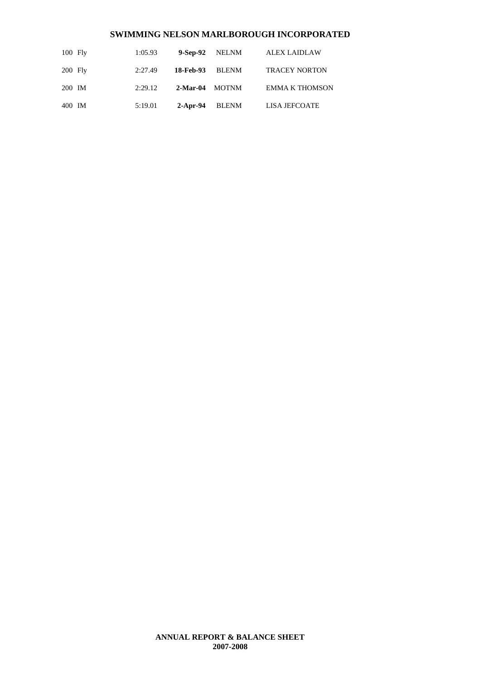| $100$ Fly | 1:05.93 | 9-Sep-92 NELNM |              | <b>ALEX LAIDLAW</b>   |
|-----------|---------|----------------|--------------|-----------------------|
| $200$ Fly | 2:27.49 | 18-Feb-93      | <b>BLENM</b> | <b>TRACEY NORTON</b>  |
| 200 IM    | 2:29.12 | 2-Mar-04 MOTNM |              | <b>EMMA K THOMSON</b> |
| 400 IM    | 5:19.01 | $2$ -Apr-94    | <b>BLENM</b> | LISA JEFCOATE         |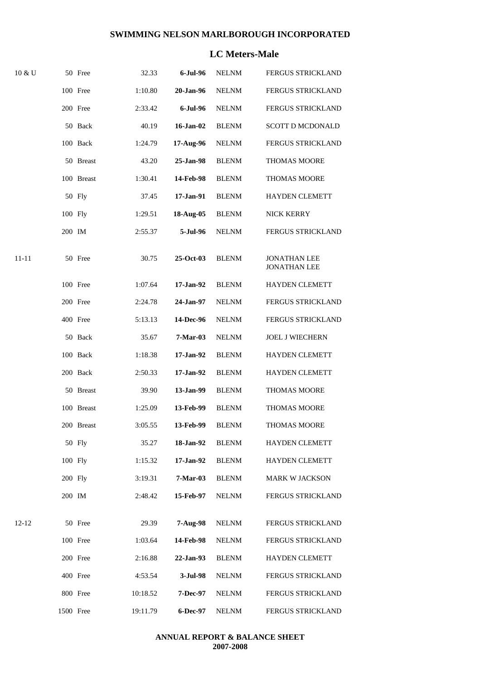### **LC Meters-Male**

| 10 & U |           | 50 Free    | 32.33    | 6-Jul-96        | <b>NELNM</b> | <b>FERGUS STRICKLAND</b>                   |
|--------|-----------|------------|----------|-----------------|--------------|--------------------------------------------|
|        |           | 100 Free   | 1:10.80  | 20-Jan-96       | <b>NELNM</b> | FERGUS STRICKLAND                          |
|        |           | 200 Free   | 2:33.42  | 6-Jul-96        | <b>NELNM</b> | FERGUS STRICKLAND                          |
|        |           | 50 Back    | 40.19    | $16$ -Jan- $02$ | <b>BLENM</b> | SCOTT D MCDONALD                           |
|        |           | 100 Back   | 1:24.79  | 17-Aug-96       | <b>NELNM</b> | FERGUS STRICKLAND                          |
|        |           | 50 Breast  | 43.20    | 25-Jan-98       | <b>BLENM</b> | <b>THOMAS MOORE</b>                        |
|        |           | 100 Breast | 1:30.41  | 14-Feb-98       | <b>BLENM</b> | THOMAS MOORE                               |
|        |           | 50 Fly     | 37.45    | 17-Jan-91       | <b>BLENM</b> | <b>HAYDEN CLEMETT</b>                      |
|        | 100 Fly   |            | 1:29.51  | 18-Aug-05       | <b>BLENM</b> | NICK KERRY                                 |
|        | 200 IM    |            | 2:55.37  | $5 -$ Jul $-96$ | <b>NELNM</b> | FERGUS STRICKLAND                          |
| 11-11  |           | 50 Free    | 30.75    | 25-Oct-03       | <b>BLENM</b> | <b>JONATHAN LEE</b><br><b>JONATHAN LEE</b> |
|        |           | 100 Free   | 1:07.64  | 17-Jan-92       | <b>BLENM</b> | <b>HAYDEN CLEMETT</b>                      |
|        |           | 200 Free   | 2:24.78  | 24-Jan-97       | <b>NELNM</b> | FERGUS STRICKLAND                          |
|        |           | 400 Free   | 5:13.13  | 14-Dec-96       | <b>NELNM</b> | FERGUS STRICKLAND                          |
|        |           | 50 Back    | 35.67    | $7-Mar-03$      | <b>NELNM</b> | <b>JOEL J WIECHERN</b>                     |
|        |           | 100 Back   | 1:18.38  | 17-Jan-92       | <b>BLENM</b> | <b>HAYDEN CLEMETT</b>                      |
|        |           | 200 Back   | 2:50.33  | 17-Jan-92       | <b>BLENM</b> | <b>HAYDEN CLEMETT</b>                      |
|        |           | 50 Breast  | 39.90    | 13-Jan-99       | <b>BLENM</b> | THOMAS MOORE                               |
|        |           | 100 Breast | 1:25.09  | 13-Feb-99       | <b>BLENM</b> | <b>THOMAS MOORE</b>                        |
|        |           | 200 Breast | 3:05.55  | 13-Feb-99       | <b>BLENM</b> | <b>THOMAS MOORE</b>                        |
|        |           | 50 Fly     | 35.27    | 18-Jan-92       | <b>BLENM</b> | <b>HAYDEN CLEMETT</b>                      |
|        | 100 Fly   |            | 1:15.32  | 17-Jan-92       | <b>BLENM</b> | <b>HAYDEN CLEMETT</b>                      |
|        | 200 Fly   |            | 3:19.31  | 7-Mar-03        | <b>BLENM</b> | <b>MARK W JACKSON</b>                      |
|        | 200 IM    |            | 2:48.42  | 15-Feb-97       | <b>NELNM</b> | <b>FERGUS STRICKLAND</b>                   |
| 12-12  |           | 50 Free    | 29.39    | $7-Aug-98$      | <b>NELNM</b> | <b>FERGUS STRICKLAND</b>                   |
|        |           | 100 Free   | 1:03.64  | 14-Feb-98       | <b>NELNM</b> | FERGUS STRICKLAND                          |
|        |           | 200 Free   | 2:16.88  | 22-Jan-93       | <b>BLENM</b> | <b>HAYDEN CLEMETT</b>                      |
|        |           | 400 Free   | 4:53.54  | 3-Jul-98        | <b>NELNM</b> | <b>FERGUS STRICKLAND</b>                   |
|        |           | 800 Free   | 10:18.52 | 7-Dec-97        | <b>NELNM</b> | <b>FERGUS STRICKLAND</b>                   |
|        | 1500 Free |            | 19:11.79 | 6-Dec-97        | <b>NELNM</b> | FERGUS STRICKLAND                          |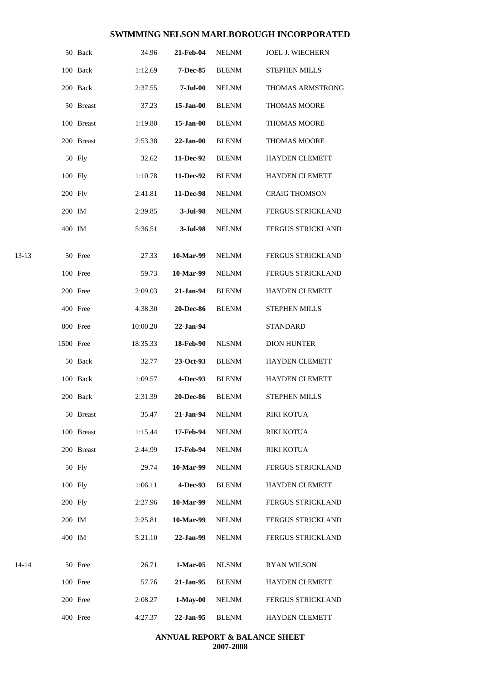|         |           | 50 Back    | 34.96    | 21-Feb-04        | <b>NELNM</b> | <b>JOEL J. WIECHERN</b>  |
|---------|-----------|------------|----------|------------------|--------------|--------------------------|
|         |           | 100 Back   | 1:12.69  | 7-Dec-85         | <b>BLENM</b> | <b>STEPHEN MILLS</b>     |
|         |           | 200 Back   | 2:37.55  | $7-Jul-00$       | <b>NELNM</b> | THOMAS ARMSTRONG         |
|         |           | 50 Breast  | 37.23    | $15$ -Jan-00     | <b>BLENM</b> | <b>THOMAS MOORE</b>      |
|         |           | 100 Breast | 1:19.80  | $15$ -Jan-00     | <b>BLENM</b> | THOMAS MOORE             |
|         |           | 200 Breast | 2:53.38  | $22-Jan-00$      | <b>BLENM</b> | <b>THOMAS MOORE</b>      |
|         |           | 50 Fly     | 32.62    | 11-Dec-92        | <b>BLENM</b> | <b>HAYDEN CLEMETT</b>    |
|         | 100 Fly   |            | 1:10.78  | 11-Dec-92        | <b>BLENM</b> | <b>HAYDEN CLEMETT</b>    |
|         | 200 Fly   |            | 2:41.81  | 11-Dec-98        | <b>NELNM</b> | <b>CRAIG THOMSON</b>     |
|         | 200 IM    |            | 2:39.85  | 3-Jul-98         | <b>NELNM</b> | FERGUS STRICKLAND        |
|         | 400 IM    |            | 5:36.51  | 3-Jul-98         | <b>NELNM</b> | FERGUS STRICKLAND        |
| $13-13$ |           | 50 Free    | 27.33    | 10-Mar-99        | <b>NELNM</b> | FERGUS STRICKLAND        |
|         |           | 100 Free   | 59.73    | 10-Mar-99        | <b>NELNM</b> | <b>FERGUS STRICKLAND</b> |
|         |           | 200 Free   | 2:09.03  | 21-Jan-94        | <b>BLENM</b> | <b>HAYDEN CLEMETT</b>    |
|         |           | 400 Free   | 4:38.30  | <b>20-Dec-86</b> | <b>BLENM</b> | STEPHEN MILLS            |
|         |           | 800 Free   | 10:00.20 | 22-Jan-94        |              | <b>STANDARD</b>          |
|         | 1500 Free |            | 18:35.33 | 18-Feb-90        | <b>NLSNM</b> | <b>DION HUNTER</b>       |
|         |           | 50 Back    | 32.77    | 23-Oct-93        | <b>BLENM</b> | <b>HAYDEN CLEMETT</b>    |
|         |           | 100 Back   | 1:09.57  | 4-Dec-93         | <b>BLENM</b> | <b>HAYDEN CLEMETT</b>    |
|         |           | 200 Back   | 2:31.39  | <b>20-Dec-86</b> | <b>BLENM</b> | <b>STEPHEN MILLS</b>     |
|         |           | 50 Breast  | 35.47    | 21-Jan-94        | <b>NELNM</b> | RIKI KOTUA               |
|         |           | 100 Breast | 1:15.44  | 17-Feb-94        | <b>NELNM</b> | <b>RIKI KOTUA</b>        |
|         |           | 200 Breast | 2:44.99  | 17-Feb-94        | <b>NELNM</b> | RIKI KOTUA               |
|         |           | 50 Fly     | 29.74    | 10-Mar-99        | <b>NELNM</b> | FERGUS STRICKLAND        |
|         | 100 Fly   |            | 1:06.11  | 4-Dec-93         | <b>BLENM</b> | <b>HAYDEN CLEMETT</b>    |
|         | 200 Fly   |            | 2:27.96  | 10-Mar-99        | <b>NELNM</b> | FERGUS STRICKLAND        |
|         | 200 IM    |            | 2:25.81  | 10-Mar-99        | NELNM        | FERGUS STRICKLAND        |
|         | 400 IM    |            | 5:21.10  | 22-Jan-99        | <b>NELNM</b> | FERGUS STRICKLAND        |
| 14-14   |           | 50 Free    | 26.71    | $1-Mar-05$       | <b>NLSNM</b> | <b>RYAN WILSON</b>       |
|         |           | 100 Free   | 57.76    | 21-Jan-95        | <b>BLENM</b> | <b>HAYDEN CLEMETT</b>    |
|         |           | 200 Free   | 2:08.27  | $1-May-00$       | NELNM        | FERGUS STRICKLAND        |
|         |           | 400 Free   | 4:27.37  | 22-Jan-95        | <b>BLENM</b> | HAYDEN CLEMETT           |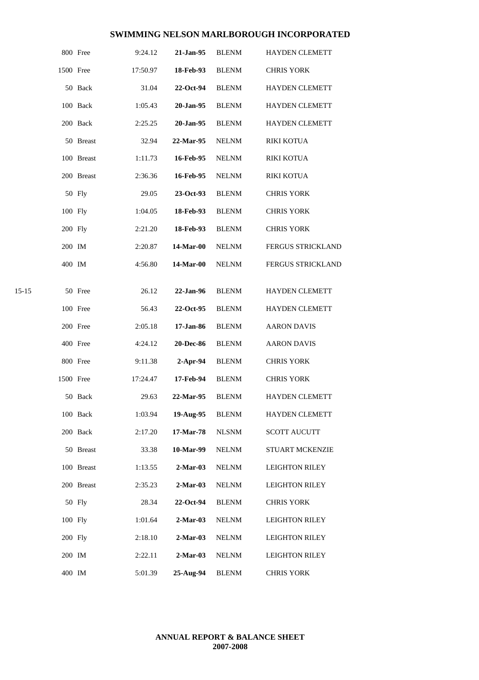|           |           | 800 Free   | 9:24.12  | 21-Jan-95        | <b>BLENM</b> | <b>HAYDEN CLEMETT</b> |
|-----------|-----------|------------|----------|------------------|--------------|-----------------------|
|           | 1500 Free |            | 17:50.97 | 18-Feb-93        | <b>BLENM</b> | <b>CHRIS YORK</b>     |
|           |           | 50 Back    | 31.04    | 22-Oct-94        | <b>BLENM</b> | <b>HAYDEN CLEMETT</b> |
|           |           | 100 Back   | 1:05.43  | 20-Jan-95        | <b>BLENM</b> | <b>HAYDEN CLEMETT</b> |
|           |           | 200 Back   | 2:25.25  | 20-Jan-95        | <b>BLENM</b> | HAYDEN CLEMETT        |
|           |           | 50 Breast  | 32.94    | 22-Mar-95        | <b>NELNM</b> | <b>RIKI KOTUA</b>     |
|           |           | 100 Breast | 1:11.73  | 16-Feb-95        | <b>NELNM</b> | RIKI KOTUA            |
|           |           | 200 Breast | 2:36.36  | 16-Feb-95        | <b>NELNM</b> | <b>RIKI KOTUA</b>     |
|           |           | 50 Fly     | 29.05    | 23-Oct-93        | <b>BLENM</b> | <b>CHRIS YORK</b>     |
|           | 100 Fly   |            | 1:04.05  | 18-Feb-93        | <b>BLENM</b> | <b>CHRIS YORK</b>     |
|           | 200 Fly   |            | 2:21.20  | 18-Feb-93        | <b>BLENM</b> | <b>CHRIS YORK</b>     |
|           | 200 IM    |            | 2:20.87  | 14-Mar-00        | <b>NELNM</b> | FERGUS STRICKLAND     |
|           | 400 IM    |            | 4:56.80  | 14-Mar-00        | <b>NELNM</b> | FERGUS STRICKLAND     |
| $15 - 15$ |           | 50 Free    | 26.12    | 22-Jan-96        | <b>BLENM</b> | HAYDEN CLEMETT        |
|           |           | 100 Free   | 56.43    | 22-Oct-95        | <b>BLENM</b> | <b>HAYDEN CLEMETT</b> |
|           |           | 200 Free   | 2:05.18  | 17-Jan-86        | <b>BLENM</b> | <b>AARON DAVIS</b>    |
|           |           | 400 Free   | 4:24.12  | <b>20-Dec-86</b> | <b>BLENM</b> | <b>AARON DAVIS</b>    |
|           |           | 800 Free   | 9:11.38  | $2-Apr-94$       | <b>BLENM</b> | <b>CHRIS YORK</b>     |
|           | 1500 Free |            | 17:24.47 | 17-Feb-94        | <b>BLENM</b> | <b>CHRIS YORK</b>     |
|           |           | 50 Back    | 29.63    | 22-Mar-95        | <b>BLENM</b> | <b>HAYDEN CLEMETT</b> |
|           |           | 100 Back   | 1:03.94  | 19-Aug-95        | <b>BLENM</b> | HAYDEN CLEMETT        |
|           |           | 200 Back   | 2:17.20  | 17-Mar-78        | <b>NLSNM</b> | <b>SCOTT AUCUTT</b>   |
|           |           | 50 Breast  | 33.38    | 10-Mar-99        | <b>NELNM</b> | STUART MCKENZIE       |
|           |           | 100 Breast | 1:13.55  | $2-Mar-03$       | <b>NELNM</b> | <b>LEIGHTON RILEY</b> |
|           |           | 200 Breast | 2:35.23  | $2-Mar-03$       | <b>NELNM</b> | <b>LEIGHTON RILEY</b> |
|           |           | 50 Fly     | 28.34    | 22-Oct-94        | <b>BLENM</b> | <b>CHRIS YORK</b>     |
|           | 100 Fly   |            | 1:01.64  | $2-Mar-03$       | <b>NELNM</b> | <b>LEIGHTON RILEY</b> |
|           | 200 Fly   |            | 2:18.10  | $2-Mar-03$       | <b>NELNM</b> | <b>LEIGHTON RILEY</b> |
|           | 200 IM    |            | 2:22.11  | $2-Mar-03$       | <b>NELNM</b> | <b>LEIGHTON RILEY</b> |
|           | 400 IM    |            | 5:01.39  | 25-Aug-94        | <b>BLENM</b> | <b>CHRIS YORK</b>     |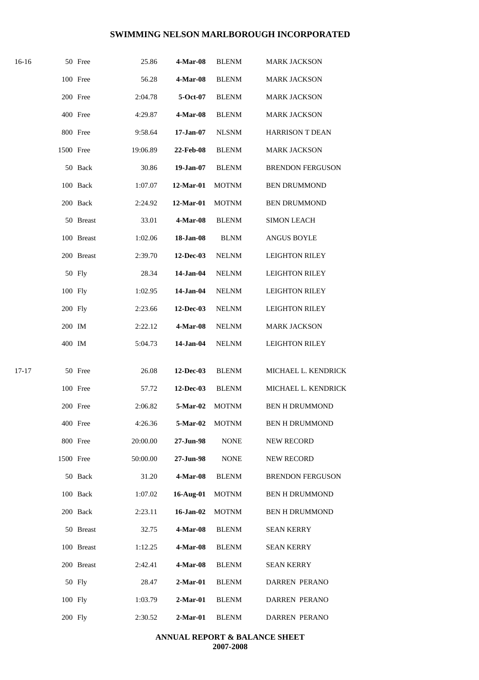| 16-16     |           | 50 Free    | 25.86    | 4-Mar-08       | <b>BLENM</b> | <b>MARK JACKSON</b>     |
|-----------|-----------|------------|----------|----------------|--------------|-------------------------|
|           |           | 100 Free   | 56.28    | 4-Mar-08       | <b>BLENM</b> | <b>MARK JACKSON</b>     |
|           |           | 200 Free   | 2:04.78  | 5-Oct-07       | <b>BLENM</b> | <b>MARK JACKSON</b>     |
|           |           | 400 Free   | 4:29.87  | 4-Mar-08       | <b>BLENM</b> | <b>MARK JACKSON</b>     |
|           |           | 800 Free   | 9:58.64  | 17-Jan-07      | <b>NLSNM</b> | <b>HARRISON T DEAN</b>  |
|           | 1500 Free |            | 19:06.89 | 22-Feb-08      | <b>BLENM</b> | <b>MARK JACKSON</b>     |
|           |           | 50 Back    | 30.86    | 19-Jan-07      | <b>BLENM</b> | <b>BRENDON FERGUSON</b> |
|           |           | 100 Back   | 1:07.07  | 12-Mar-01      | <b>MOTNM</b> | <b>BEN DRUMMOND</b>     |
|           |           | 200 Back   | 2:24.92  | 12-Mar-01      | <b>MOTNM</b> | <b>BEN DRUMMOND</b>     |
|           |           | 50 Breast  | 33.01    | 4-Mar-08       | <b>BLENM</b> | <b>SIMON LEACH</b>      |
|           |           | 100 Breast | 1:02.06  | 18-Jan-08      | <b>BLNM</b>  | <b>ANGUS BOYLE</b>      |
|           |           | 200 Breast | 2:39.70  | 12-Dec-03      | <b>NELNM</b> | <b>LEIGHTON RILEY</b>   |
|           |           | 50 Fly     | 28.34    | 14-Jan-04      | <b>NELNM</b> | <b>LEIGHTON RILEY</b>   |
|           | 100 Fly   |            | 1:02.95  | 14-Jan-04      | <b>NELNM</b> | <b>LEIGHTON RILEY</b>   |
|           | 200 Fly   |            | 2:23.66  | 12-Dec-03      | <b>NELNM</b> | <b>LEIGHTON RILEY</b>   |
|           | 200 IM    |            | 2:22.12  | 4-Mar-08       | <b>NELNM</b> | <b>MARK JACKSON</b>     |
|           | 400 IM    |            | 5:04.73  | 14-Jan-04      | <b>NELNM</b> | <b>LEIGHTON RILEY</b>   |
| $17 - 17$ | 50 Free   |            | 26.08    | 12-Dec-03      | <b>BLENM</b> | MICHAEL L. KENDRICK     |
|           |           | 100 Free   | 57.72    | 12-Dec-03      | <b>BLENM</b> | MICHAEL L. KENDRICK     |
|           |           | 200 Free   | 2:06.82  | 5-Mar-02 MOTNM |              | <b>BEN H DRUMMOND</b>   |
|           |           | 400 Free   | 4:26.36  | 5-Mar-02       | <b>MOTNM</b> | <b>BEN H DRUMMOND</b>   |
|           |           | 800 Free   | 20:00.00 | 27-Jun-98      | <b>NONE</b>  | NEW RECORD              |
|           | 1500 Free |            | 50:00.00 | 27-Jun-98      | <b>NONE</b>  | <b>NEW RECORD</b>       |
|           |           | 50 Back    | 31.20    | 4-Mar-08       | <b>BLENM</b> | <b>BRENDON FERGUSON</b> |
|           |           | 100 Back   | 1:07.02  | 16-Aug-01      | <b>MOTNM</b> | <b>BEN H DRUMMOND</b>   |
|           |           | 200 Back   | 2:23.11  | 16-Jan-02      | <b>MOTNM</b> | <b>BEN H DRUMMOND</b>   |
|           |           | 50 Breast  | 32.75    | 4-Mar-08       | <b>BLENM</b> | <b>SEAN KERRY</b>       |
|           |           | 100 Breast | 1:12.25  | 4-Mar-08       | <b>BLENM</b> | <b>SEAN KERRY</b>       |
|           |           | 200 Breast | 2:42.41  | 4-Mar-08       | <b>BLENM</b> | <b>SEAN KERRY</b>       |
|           |           | 50 Fly     | 28.47    | $2-Mar-01$     | <b>BLENM</b> | DARREN PERANO           |
|           | 100 Fly   |            | 1:03.79  | $2-Mar-01$     | <b>BLENM</b> | <b>DARREN PERANO</b>    |
|           | 200 Fly   |            | 2:30.52  | $2-Mar-01$     | <b>BLENM</b> | DARREN PERANO           |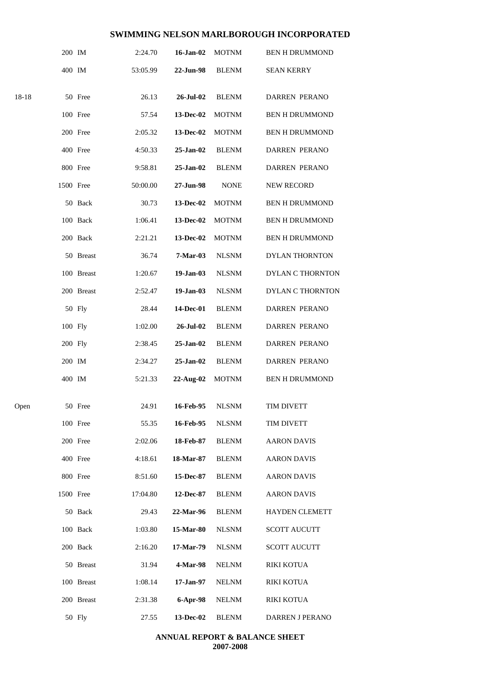|       | 200 IM    |            | 2:24.70  | 16-Jan-02     | <b>MOTNM</b> | <b>BEN H DRUMMOND</b> |
|-------|-----------|------------|----------|---------------|--------------|-----------------------|
|       | 400 IM    |            | 53:05.99 | 22-Jun-98     | <b>BLENM</b> | <b>SEAN KERRY</b>     |
| 18-18 |           | 50 Free    | 26.13    | 26-Jul-02     | <b>BLENM</b> | DARREN PERANO         |
|       |           |            |          |               |              |                       |
|       |           | 100 Free   | 57.54    | 13-Dec-02     | <b>MOTNM</b> | <b>BEN H DRUMMOND</b> |
|       |           | 200 Free   | 2:05.32  | 13-Dec-02     | <b>MOTNM</b> | <b>BEN H DRUMMOND</b> |
|       |           | 400 Free   | 4:50.33  | $25 - Jan-02$ | <b>BLENM</b> | <b>DARREN PERANO</b>  |
|       |           | 800 Free   | 9:58.81  | 25-Jan-02     | <b>BLENM</b> | <b>DARREN PERANO</b>  |
|       | 1500 Free |            | 50:00.00 | 27-Jun-98     | <b>NONE</b>  | <b>NEW RECORD</b>     |
|       |           | 50 Back    | 30.73    | 13-Dec-02     | <b>MOTNM</b> | <b>BEN H DRUMMOND</b> |
|       |           | 100 Back   | 1:06.41  | 13-Dec-02     | <b>MOTNM</b> | <b>BEN H DRUMMOND</b> |
|       |           | 200 Back   | 2:21.21  | 13-Dec-02     | <b>MOTNM</b> | <b>BEN H DRUMMOND</b> |
|       |           | 50 Breast  | 36.74    | 7-Mar-03      | <b>NLSNM</b> | DYLAN THORNTON        |
|       |           | 100 Breast | 1:20.67  | $19-Jan-03$   | <b>NLSNM</b> | DYLAN C THORNTON      |
|       |           | 200 Breast | 2:52.47  | 19-Jan-03     | <b>NLSNM</b> | DYLAN C THORNTON      |
|       |           | 50 Fly     | 28.44    | 14-Dec-01     | <b>BLENM</b> | <b>DARREN PERANO</b>  |
|       | 100 Fly   |            | 1:02.00  | 26-Jul-02     | <b>BLENM</b> | <b>DARREN PERANO</b>  |
|       | 200 Fly   |            | 2:38.45  | 25-Jan-02     | <b>BLENM</b> | <b>DARREN PERANO</b>  |
|       | 200 IM    |            | 2:34.27  | 25-Jan-02     | <b>BLENM</b> | <b>DARREN PERANO</b>  |
|       | 400 IM    |            | 5:21.33  | $22-Aug-02$   | <b>MOTNM</b> | <b>BEN H DRUMMOND</b> |
| Open  |           | 50 Free    | 24.91    | 16-Feb-95     | <b>NLSNM</b> | <b>TIM DIVETT</b>     |
|       |           | 100 Free   | 55.35    | 16-Feb-95     | <b>NLSNM</b> | TIM DIVETT            |
|       |           | 200 Free   | 2:02.06  | 18-Feb-87     | <b>BLENM</b> | <b>AARON DAVIS</b>    |
|       |           | 400 Free   | 4:18.61  | 18-Mar-87     | <b>BLENM</b> | <b>AARON DAVIS</b>    |
|       |           |            |          |               |              |                       |
|       |           | 800 Free   | 8:51.60  | 15-Dec-87     | <b>BLENM</b> | <b>AARON DAVIS</b>    |
|       | 1500 Free |            | 17:04.80 | 12-Dec-87     | <b>BLENM</b> | <b>AARON DAVIS</b>    |
|       |           | 50 Back    | 29.43    | 22-Mar-96     | <b>BLENM</b> | <b>HAYDEN CLEMETT</b> |
|       |           | 100 Back   | 1:03.80  | 15-Mar-80     | <b>NLSNM</b> | <b>SCOTT AUCUTT</b>   |
|       |           | 200 Back   | 2:16.20  | 17-Mar-79     | <b>NLSNM</b> | <b>SCOTT AUCUTT</b>   |
|       |           | 50 Breast  | 31.94    | 4-Mar-98      | <b>NELNM</b> | <b>RIKI KOTUA</b>     |
|       |           | 100 Breast | 1:08.14  | 17-Jan-97     | <b>NELNM</b> | RIKI KOTUA            |
|       |           | 200 Breast | 2:31.38  | 6-Apr-98      | <b>NELNM</b> | RIKI KOTUA            |
|       |           | 50 Fly     | 27.55    | 13-Dec-02     | <b>BLENM</b> | DARREN J PERANO       |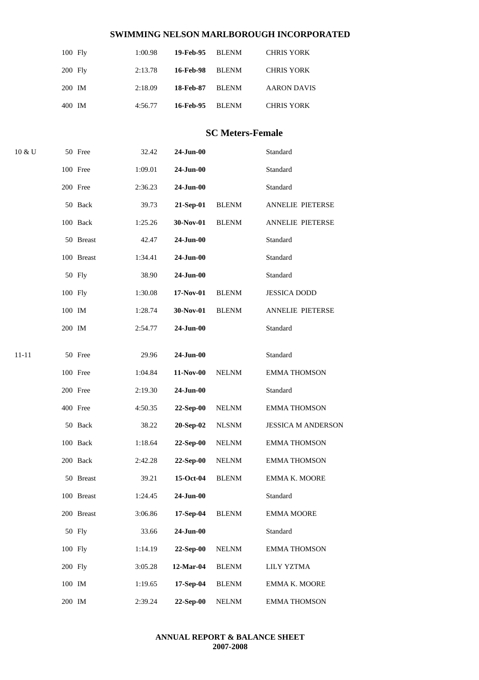| $100$ Fly | 1:00.98 | 19-Feb-95 BLENM |       | <b>CHRIS YORK</b>  |
|-----------|---------|-----------------|-------|--------------------|
| $200$ Fly | 2:13.78 | 16-Feb-98       | BLENM | <b>CHRIS YORK</b>  |
| 200 IM    | 2:18.09 | 18-Feb-87       | BLENM | <b>AARON DAVIS</b> |
| 400 IM    | 4:56.77 | 16-Feb-95       | BLENM | <b>CHRIS YORK</b>  |

### **SC Meters-Female**

| 10 & U |               | 50 Free                 | 32.42   | $24$ -Jun-00 |              | Standard                        |
|--------|---------------|-------------------------|---------|--------------|--------------|---------------------------------|
|        |               | 100 Free                | 1:09.01 | $24$ -Jun-00 |              | Standard                        |
|        |               | 200 Free                | 2:36.23 | $24$ -Jun-00 |              | Standard                        |
|        |               | 50 Back                 | 39.73   | 21-Sep-01    | <b>BLENM</b> | ANNELIE PIETERSE                |
|        |               | 100 Back                | 1:25.26 | 30-Nov-01    | <b>BLENM</b> | ANNELIE PIETERSE                |
|        |               | 50 Breast               | 42.47   | 24-Jun-00    |              | Standard                        |
|        |               | 100 Breast              | 1:34.41 | $24$ -Jun-00 |              | Standard                        |
|        |               | 50 Fly                  | 38.90   | $24$ -Jun-00 |              | Standard                        |
|        | 100 Fly       |                         | 1:30.08 | 17-Nov-01    | <b>BLENM</b> | <b>JESSICA DODD</b>             |
|        | 100 IM        |                         | 1:28.74 | 30-Nov-01    | <b>BLENM</b> | ANNELIE PIETERSE                |
|        | 200 IM        |                         | 2:54.77 | 24-Jun-00    |              | Standard                        |
| 11-11  |               | 50 Free                 | 29.96   | $24$ -Jun-00 |              | Standard                        |
|        |               | 100 Free                | 1:04.84 | 11-Nov-00    | <b>NELNM</b> |                                 |
|        |               | 200 Free                | 2:19.30 | 24-Jun-00    |              | <b>EMMA THOMSON</b><br>Standard |
|        |               | 400 Free                | 4:50.35 | 22-Sep-00    | <b>NELNM</b> | <b>EMMA THOMSON</b>             |
|        |               | 50 Back                 | 38.22   | 20-Sep-02    | <b>NLSNM</b> | <b>JESSICA M ANDERSON</b>       |
|        |               | 100 Back                |         | 22-Sep-00    |              | <b>EMMA THOMSON</b>             |
|        |               |                         | 1:18.64 | 22-Sep-00    | <b>NELNM</b> |                                 |
|        |               | 200 Back                | 2:42.28 |              | <b>NELNM</b> | <b>EMMA THOMSON</b>             |
|        |               | 50 Breast<br>100 Breast | 39.21   | 15-Oct-04    | <b>BLENM</b> | <b>EMMA K. MOORE</b>            |
|        |               |                         | 1:24.45 | 24-Jun-00    |              | Standard                        |
|        |               | 200 Breast              | 3:06.86 | 17-Sep-04    | <b>BLENM</b> | <b>EMMA MOORE</b>               |
|        |               | 50 Fly                  | 33.66   | $24$ -Jun-00 |              | Standard                        |
|        | 100 Fly       |                         | 1:14.19 | 22-Sep-00    | <b>NELNM</b> | <b>EMMA THOMSON</b>             |
|        | 200 Fly       |                         | 3:05.28 | 12-Mar-04    | <b>BLENM</b> | LILY YZTMA                      |
|        | $100$ $\,$ IM |                         | 1:19.65 | 17-Sep-04    | <b>BLENM</b> | EMMA K. MOORE                   |
|        | 200 IM        |                         | 2:39.24 | 22-Sep-00    | <b>NELNM</b> | <b>EMMA THOMSON</b>             |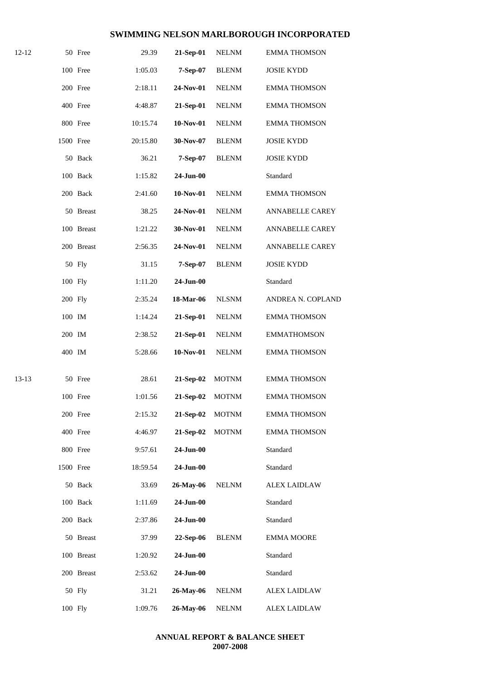| 12-12     |           | 50 Free    | 29.39    | 21-Sep-01    | <b>NELNM</b> | <b>EMMA THOMSON</b>    |
|-----------|-----------|------------|----------|--------------|--------------|------------------------|
|           |           | 100 Free   | 1:05.03  | 7-Sep-07     | <b>BLENM</b> | <b>JOSIE KYDD</b>      |
|           |           | 200 Free   | 2:18.11  | 24-Nov-01    | <b>NELNM</b> | <b>EMMA THOMSON</b>    |
|           |           | 400 Free   | 4:48.87  | 21-Sep-01    | <b>NELNM</b> | <b>EMMA THOMSON</b>    |
|           |           | 800 Free   | 10:15.74 | 10-Nov-01    | <b>NELNM</b> | <b>EMMA THOMSON</b>    |
|           | 1500 Free |            | 20:15.80 | 30-Nov-07    | <b>BLENM</b> | <b>JOSIE KYDD</b>      |
|           |           | 50 Back    | 36.21    | 7-Sep-07     | <b>BLENM</b> | <b>JOSIE KYDD</b>      |
|           |           | 100 Back   | 1:15.82  | $24-Jun-00$  |              | Standard               |
|           |           | 200 Back   | 2:41.60  | 10-Nov-01    | <b>NELNM</b> | <b>EMMA THOMSON</b>    |
|           |           | 50 Breast  | 38.25    | 24-Nov-01    | <b>NELNM</b> | ANNABELLE CAREY        |
|           |           | 100 Breast | 1:21.22  | 30-Nov-01    | <b>NELNM</b> | ANNABELLE CAREY        |
|           |           | 200 Breast | 2:56.35  | 24-Nov-01    | <b>NELNM</b> | <b>ANNABELLE CAREY</b> |
|           |           | 50 Fly     | 31.15    | 7-Sep-07     | <b>BLENM</b> | <b>JOSIE KYDD</b>      |
|           | 100 Fly   |            | 1:11.20  | $24$ -Jun-00 |              | Standard               |
|           | 200 Fly   |            | 2:35.24  | 18-Mar-06    | <b>NLSNM</b> | ANDREA N. COPLAND      |
|           | 100 IM    |            | 1:14.24  | 21-Sep-01    | $\it NELNM$  | <b>EMMA THOMSON</b>    |
|           | 200 IM    |            | 2:38.52  | 21-Sep-01    | <b>NELNM</b> | <b>EMMATHOMSON</b>     |
|           | 400 IM    |            | 5:28.66  | $10-Nov-01$  | <b>NELNM</b> | <b>EMMA THOMSON</b>    |
|           |           |            |          |              |              |                        |
| $13 - 13$ |           | 50 Free    | 28.61    | 21-Sep-02    | <b>MOTNM</b> | <b>EMMA THOMSON</b>    |
|           |           | 100 Free   | 1:01.56  | 21-Sep-02    | <b>MOTNM</b> | <b>EMMA THOMSON</b>    |
|           |           | 200 Free   | 2:15.32  | 21-Sep-02    | <b>MOTNM</b> | <b>EMMA THOMSON</b>    |
|           |           | 400 Free   | 4:46.97  | 21-Sep-02    | <b>MOTNM</b> | <b>EMMA THOMSON</b>    |
|           |           | 800 Free   | 9:57.61  | 24-Jun-00    |              | Standard               |
|           | 1500 Free |            | 18:59.54 | 24-Jun-00    |              | Standard               |
|           |           | 50 Back    | 33.69    | 26-May-06    | <b>NELNM</b> | <b>ALEX LAIDLAW</b>    |
|           |           | 100 Back   | 1:11.69  | 24-Jun-00    |              | Standard               |
|           |           | 200 Back   | 2:37.86  | 24-Jun-00    |              | Standard               |
|           |           | 50 Breast  | 37.99    | 22-Sep-06    | <b>BLENM</b> | <b>EMMA MOORE</b>      |
|           |           | 100 Breast | 1:20.92  | 24-Jun-00    |              | Standard               |
|           |           | 200 Breast | 2:53.62  | 24-Jun-00    |              | Standard               |
|           |           | 50 Fly     | 31.21    | 26-May-06    | <b>NELNM</b> | <b>ALEX LAIDLAW</b>    |
|           | 100 Fly   |            | 1:09.76  | 26-May-06    | <b>NELNM</b> | <b>ALEX LAIDLAW</b>    |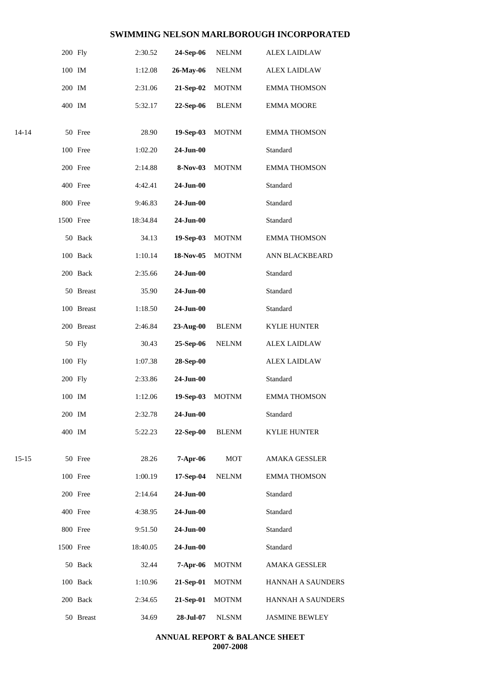|           | 200 Fly   |            | 2:30.52  | 24-Sep-06    | <b>NELNM</b> | <b>ALEX LAIDLAW</b>   |
|-----------|-----------|------------|----------|--------------|--------------|-----------------------|
|           | 100 IM    |            | 1:12.08  | 26-May-06    | <b>NELNM</b> | <b>ALEX LAIDLAW</b>   |
|           | 200 IM    |            | 2:31.06  | 21-Sep-02    | <b>MOTNM</b> | <b>EMMA THOMSON</b>   |
|           | 400 IM    |            | 5:32.17  | 22-Sep-06    | <b>BLENM</b> | <b>EMMA MOORE</b>     |
| $14 - 14$ |           | 50 Free    | 28.90    | 19-Sep-03    | <b>MOTNM</b> | <b>EMMA THOMSON</b>   |
|           |           | 100 Free   | 1:02.20  | 24-Jun-00    |              | Standard              |
|           |           | 200 Free   | 2:14.88  | 8-Nov-03     | <b>MOTNM</b> | <b>EMMA THOMSON</b>   |
|           |           | 400 Free   | 4:42.41  | 24-Jun-00    |              | Standard              |
|           |           | 800 Free   | 9:46.83  | $24$ -Jun-00 |              | Standard              |
|           | 1500 Free |            | 18:34.84 | 24-Jun-00    |              | Standard              |
|           |           | 50 Back    | 34.13    | 19-Sep-03    | <b>MOTNM</b> | <b>EMMA THOMSON</b>   |
|           |           | 100 Back   | 1:10.14  | 18-Nov-05    | <b>MOTNM</b> | ANN BLACKBEARD        |
|           |           | 200 Back   | 2:35.66  | 24-Jun-00    |              | Standard              |
|           |           | 50 Breast  | 35.90    | $24$ -Jun-00 |              | Standard              |
|           |           | 100 Breast | 1:18.50  | $24$ -Jun-00 |              | Standard              |
|           |           | 200 Breast | 2:46.84  | 23-Aug-00    | <b>BLENM</b> | <b>KYLIE HUNTER</b>   |
|           |           | 50 Fly     | 30.43    | 25-Sep-06    | <b>NELNM</b> | <b>ALEX LAIDLAW</b>   |
|           | 100 Fly   |            | 1:07.38  | 28-Sep-00    |              | <b>ALEX LAIDLAW</b>   |
|           | 200 Fly   |            | 2:33.86  | 24-Jun-00    |              | Standard              |
|           | 100 IM    |            | 1:12.06  | 19-Sep-03    | <b>MOTNM</b> | <b>EMMA THOMSON</b>   |
|           | 200 IM    |            | 2:32.78  | 24-Jun-00    |              | Standard              |
|           | 400 IM    |            | 5:22.23  | 22-Sep-00    | <b>BLENM</b> | <b>KYLIE HUNTER</b>   |
| $15 - 15$ |           | 50 Free    | 28.26    | 7-Apr-06     | <b>MOT</b>   | <b>AMAKA GESSLER</b>  |
|           |           | 100 Free   | 1:00.19  | 17-Sep-04    | <b>NELNM</b> | <b>EMMA THOMSON</b>   |
|           |           | 200 Free   | 2:14.64  | 24-Jun-00    |              | Standard              |
|           |           | 400 Free   | 4:38.95  | 24-Jun-00    |              | Standard              |
|           |           | 800 Free   | 9:51.50  | $24$ -Jun-00 |              | Standard              |
|           | 1500 Free |            | 18:40.05 | 24-Jun-00    |              | Standard              |
|           |           | 50 Back    | 32.44    | 7-Apr-06     | <b>MOTNM</b> | <b>AMAKA GESSLER</b>  |
|           |           | 100 Back   | 1:10.96  | 21-Sep-01    | <b>MOTNM</b> | HANNAH A SAUNDERS     |
|           |           | 200 Back   | 2:34.65  | 21-Sep-01    | <b>MOTNM</b> | HANNAH A SAUNDERS     |
|           |           | 50 Breast  | 34.69    | 28-Jul-07    | <b>NLSNM</b> | <b>JASMINE BEWLEY</b> |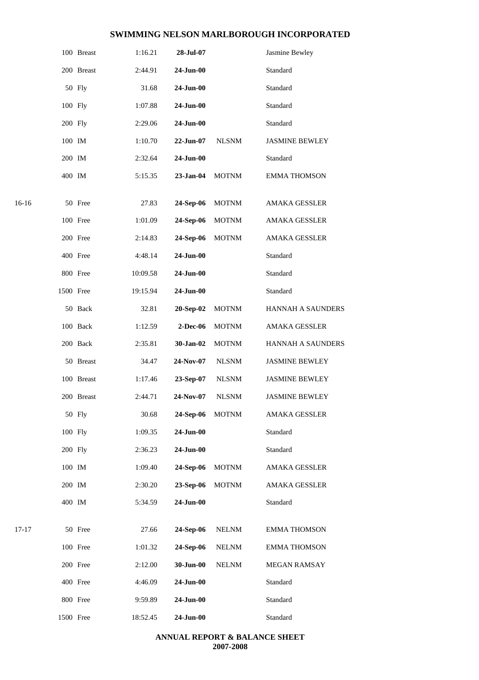|         |           | 100 Breast | 1:16.21  | 28-Jul-07         |              | Jasmine Bewley        |
|---------|-----------|------------|----------|-------------------|--------------|-----------------------|
|         |           | 200 Breast | 2:44.91  | $24$ -Jun-00      |              | Standard              |
|         |           | 50 Fly     | 31.68    | $24-Jun-00$       |              | Standard              |
|         | 100 Fly   |            | 1:07.88  | $24$ -Jun-00      |              | Standard              |
|         | 200 Fly   |            | 2:29.06  | $24-Jun-00$       |              | Standard              |
|         | 100 IM    |            | 1:10.70  | $22-Jun-07$       | <b>NLSNM</b> | <b>JASMINE BEWLEY</b> |
|         | 200 IM    |            | 2:32.64  | 24-Jun-00         |              | Standard              |
|         | 400 IM    |            | 5:15.35  | $23-Jan-04$       | <b>MOTNM</b> | <b>EMMA THOMSON</b>   |
| $16-16$ |           | 50 Free    | 27.83    | 24-Sep-06         | <b>MOTNM</b> | <b>AMAKA GESSLER</b>  |
|         |           | 100 Free   | 1:01.09  | 24-Sep-06         | <b>MOTNM</b> | <b>AMAKA GESSLER</b>  |
|         |           | 200 Free   | 2:14.83  | 24-Sep-06         | <b>MOTNM</b> | <b>AMAKA GESSLER</b>  |
|         |           | 400 Free   | 4:48.14  | 24-Jun-00         |              | Standard              |
|         |           | 800 Free   | 10:09.58 | 24-Jun-00         |              | Standard              |
|         | 1500 Free |            | 19:15.94 | 24-Jun-00         |              | Standard              |
|         |           | 50 Back    | 32.81    | 20-Sep-02         | <b>MOTNM</b> | HANNAH A SAUNDERS     |
|         |           | 100 Back   | 1:12.59  | 2-Dec-06          | <b>MOTNM</b> | <b>AMAKA GESSLER</b>  |
|         |           | 200 Back   | 2:35.81  | 30-Jan-02         | <b>MOTNM</b> | HANNAH A SAUNDERS     |
|         |           | 50 Breast  | 34.47    | 24-Nov-07         | <b>NLSNM</b> | <b>JASMINE BEWLEY</b> |
|         |           | 100 Breast | 1:17.46  | 23-Sep-07         | <b>NLSNM</b> | <b>JASMINE BEWLEY</b> |
|         |           | 200 Breast | 2:44.71  | 24-Nov-07         | <b>NLSNM</b> | <b>JASMINE BEWLEY</b> |
|         |           | 50 Fly     | 30.68    | 24-Sep-06         | <b>MOTNM</b> | AMAKA GESSLER         |
|         | 100 Fly   |            | 1:09.35  | 24-Jun-00         |              | Standard              |
|         | 200 Fly   |            | 2:36.23  | $24-Jun-00$       |              | Standard              |
|         | 100 IM    |            | 1:09.40  | 24-Sep-06         | <b>MOTNM</b> | AMAKA GESSLER         |
|         | 200 IM    |            | 2:30.20  | 23-Sep-06         | <b>MOTNM</b> | AMAKA GESSLER         |
|         | 400 IM    |            | 5:34.59  | $24$ -Jun-00 $\,$ |              | Standard              |
| 17-17   |           | 50 Free    | 27.66    | 24-Sep-06         | $\it NELNM$  | <b>EMMA THOMSON</b>   |
|         |           | 100 Free   | 1:01.32  | 24-Sep-06         | <b>NELNM</b> | <b>EMMA THOMSON</b>   |
|         |           | 200 Free   | 2:12.00  | 30-Jun-00         | <b>NELNM</b> | MEGAN RAMSAY          |
|         |           | 400 Free   | 4:46.09  | $24$ -Jun-00      |              | Standard              |
|         |           | 800 Free   | 9:59.89  | 24-Jun-00         |              | Standard              |
|         | 1500 Free |            | 18:52.45 | $24$ -Jun-00      |              | Standard              |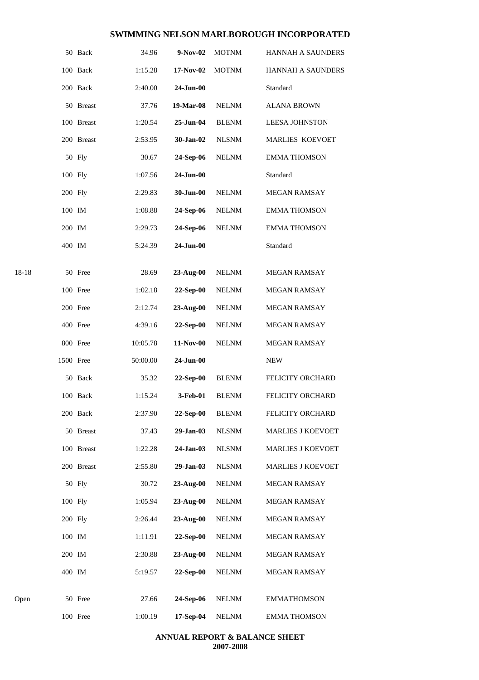|       |           | 50 Back    | 34.96    | 9-Nov-02     | <b>MOTNM</b> | HANNAH A SAUNDERS        |  |
|-------|-----------|------------|----------|--------------|--------------|--------------------------|--|
|       |           | 100 Back   | 1:15.28  | 17-Nov-02    | <b>MOTNM</b> | HANNAH A SAUNDERS        |  |
|       |           | 200 Back   | 2:40.00  | $24$ -Jun-00 |              | Standard                 |  |
|       |           | 50 Breast  | 37.76    | 19-Mar-08    | <b>NELNM</b> | <b>ALANA BROWN</b>       |  |
|       |           | 100 Breast | 1:20.54  | 25-Jun-04    | <b>BLENM</b> | <b>LEESA JOHNSTON</b>    |  |
|       |           | 200 Breast | 2:53.95  | 30-Jan-02    | <b>NLSNM</b> | <b>MARLIES KOEVOET</b>   |  |
|       |           | 50 Fly     | 30.67    | 24-Sep-06    | <b>NELNM</b> | <b>EMMA THOMSON</b>      |  |
|       | 100 Fly   |            | 1:07.56  | $24$ -Jun-00 |              | Standard                 |  |
|       | 200 Fly   |            | 2:29.83  | 30-Jun-00    | <b>NELNM</b> | <b>MEGAN RAMSAY</b>      |  |
|       | 100 IM    |            | 1:08.88  | 24-Sep-06    | <b>NELNM</b> | <b>EMMA THOMSON</b>      |  |
|       | 200 IM    |            | 2:29.73  | 24-Sep-06    | <b>NELNM</b> | <b>EMMA THOMSON</b>      |  |
|       | 400 IM    |            | 5:24.39  | $24-Jun-00$  |              | Standard                 |  |
| 18-18 |           | 50 Free    | 28.69    | 23-Aug-00    | <b>NELNM</b> | MEGAN RAMSAY             |  |
|       |           | 100 Free   | 1:02.18  | 22-Sep-00    | <b>NELNM</b> | MEGAN RAMSAY             |  |
|       |           | 200 Free   | 2:12.74  | 23-Aug-00    | <b>NELNM</b> | MEGAN RAMSAY             |  |
|       |           | 400 Free   | 4:39.16  | 22-Sep-00    | <b>NELNM</b> | <b>MEGAN RAMSAY</b>      |  |
|       |           | 800 Free   | 10:05.78 | 11-Nov-00    | <b>NELNM</b> | MEGAN RAMSAY             |  |
|       | 1500 Free |            | 50:00.00 | 24-Jun-00    |              | <b>NEW</b>               |  |
|       |           | 50 Back    | 35.32    | 22-Sep-00    | <b>BLENM</b> | FELICITY ORCHARD         |  |
|       |           | 100 Back   | 1:15.24  | 3-Feb-01     | <b>BLENM</b> | FELICITY ORCHARD         |  |
|       |           | 200 Back   | 2:37.90  | 22-Sep-00    | <b>BLENM</b> | FELICITY ORCHARD         |  |
|       |           | 50 Breast  | 37.43    | 29-Jan-03    | <b>NLSNM</b> | <b>MARLIES J KOEVOET</b> |  |
|       |           | 100 Breast | 1:22.28  | 24-Jan-03    | <b>NLSNM</b> | <b>MARLIES J KOEVOET</b> |  |
|       |           | 200 Breast | 2:55.80  | 29-Jan-03    | <b>NLSNM</b> | <b>MARLIES J KOEVOET</b> |  |
|       |           | 50 Fly     | 30.72    | 23-Aug-00    | <b>NELNM</b> | MEGAN RAMSAY             |  |
|       | 100 Fly   |            | 1:05.94  | $23-Aug-00$  | <b>NELNM</b> | MEGAN RAMSAY             |  |
|       | 200 Fly   |            | 2:26.44  | $23-Aug-00$  | <b>NELNM</b> | MEGAN RAMSAY             |  |
|       | 100 IM    |            | 1:11.91  | $22-Sep-00$  | <b>NELNM</b> | MEGAN RAMSAY             |  |
|       | 200 IM    |            | 2:30.88  | $23-Aug-00$  | <b>NELNM</b> | MEGAN RAMSAY             |  |
|       | 400 IM    |            | 5:19.57  | $22-Sep-00$  | <b>NELNM</b> | <b>MEGAN RAMSAY</b>      |  |
| Open  |           | 50 Free    | 27.66    | 24-Sep-06    | <b>NELNM</b> | <b>EMMATHOMSON</b>       |  |
|       |           | 100 Free   | 1:00.19  | 17-Sep-04    | <b>NELNM</b> | <b>EMMA THOMSON</b>      |  |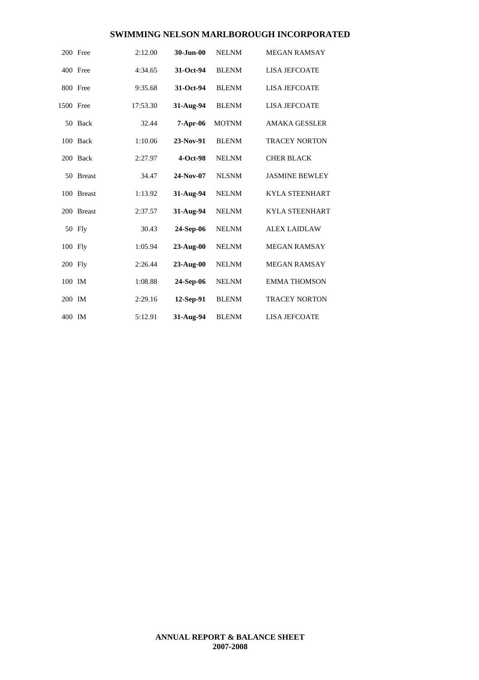|           | 200 Free   | 2:12.00  | 30-Jun-00  | <b>NELNM</b> | <b>MEGAN RAMSAY</b>   |
|-----------|------------|----------|------------|--------------|-----------------------|
|           | 400 Free   | 4:34.65  | 31-Oct-94  | <b>BLENM</b> | <b>LISA JEFCOATE</b>  |
|           | 800 Free   | 9:35.68  | 31-Oct-94  | <b>BLENM</b> | <b>LISA JEFCOATE</b>  |
| 1500 Free |            | 17:53.30 | 31-Aug-94  | <b>BLENM</b> | <b>LISA JEFCOATE</b>  |
|           | 50 Back    | 32.44    | $7-Apr-06$ | <b>MOTNM</b> | <b>AMAKA GESSLER</b>  |
|           | 100 Back   | 1:10.06  | 23-Nov-91  | <b>BLENM</b> | <b>TRACEY NORTON</b>  |
|           | 200 Back   | 2:27.97  | $4-Oct-98$ | <b>NELNM</b> | <b>CHER BLACK</b>     |
|           | 50 Breast  | 34.47    | 24-Nov-07  | <b>NLSNM</b> | <b>JASMINE BEWLEY</b> |
|           | 100 Breast | 1:13.92  | 31-Aug-94  | <b>NELNM</b> | <b>KYLA STEENHART</b> |
|           | 200 Breast | 2:37.57  | 31-Aug-94  | <b>NELNM</b> | <b>KYLA STEENHART</b> |
|           | 50 Fly     | 30.43    | 24-Sep-06  | <b>NELNM</b> | <b>ALEX LAIDLAW</b>   |
| 100 Fly   |            | 1:05.94  | 23-Aug-00  | <b>NELNM</b> | <b>MEGAN RAMSAY</b>   |
| 200 Fly   |            | 2:26.44  | 23-Aug-00  | <b>NELNM</b> | <b>MEGAN RAMSAY</b>   |
| 100 IM    |            | 1:08.88  | 24-Sep-06  | <b>NELNM</b> | <b>EMMA THOMSON</b>   |
| 200 IM    |            | 2:29.16  | 12-Sep-91  | <b>BLENM</b> | <b>TRACEY NORTON</b>  |
| 400 IM    |            | 5:12.91  | 31-Aug-94  | <b>BLENM</b> | <b>LISA JEFCOATE</b>  |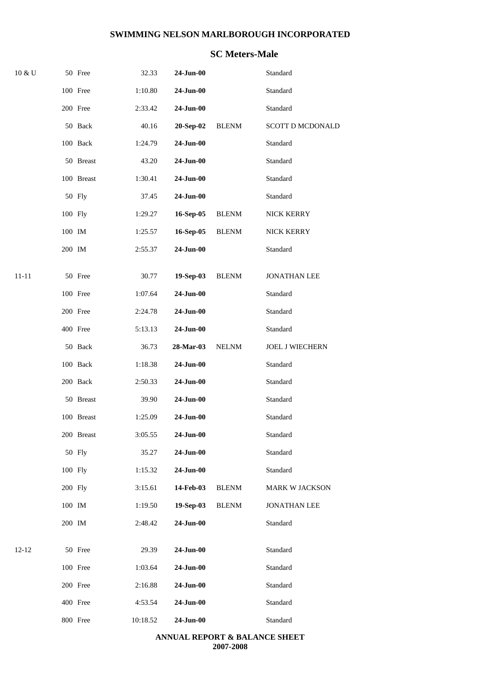### **SC Meters-Male**

| 10 & U    |         | 50 Free    | 32.33    | $24$ -Jun-00 |              | Standard                |
|-----------|---------|------------|----------|--------------|--------------|-------------------------|
|           |         | 100 Free   | 1:10.80  | 24-Jun-00    |              | Standard                |
|           |         | 200 Free   | 2:33.42  | 24-Jun-00    |              | Standard                |
|           |         | 50 Back    | 40.16    | 20-Sep-02    | <b>BLENM</b> | <b>SCOTT D MCDONALD</b> |
|           |         | 100 Back   | 1:24.79  | 24-Jun-00    |              | Standard                |
|           |         | 50 Breast  | 43.20    | $24$ -Jun-00 |              | Standard                |
|           |         | 100 Breast | 1:30.41  | 24-Jun-00    |              | Standard                |
|           |         | 50 Fly     | 37.45    | 24-Jun-00    |              | Standard                |
|           | 100 Fly |            | 1:29.27  | 16-Sep-05    | <b>BLENM</b> | NICK KERRY              |
|           | 100 IM  |            | 1:25.57  | 16-Sep-05    | <b>BLENM</b> | NICK KERRY              |
|           | 200 IM  |            | 2:55.37  | 24-Jun-00    |              | Standard                |
| 11-11     |         | 50 Free    | 30.77    | 19-Sep-03    | <b>BLENM</b> | JONATHAN LEE            |
|           |         | 100 Free   | 1:07.64  | 24-Jun-00    |              | Standard                |
|           |         | 200 Free   | 2:24.78  | 24-Jun-00    |              | Standard                |
|           |         | 400 Free   | 5:13.13  | $24$ -Jun-00 |              | Standard                |
|           |         | 50 Back    | 36.73    | 28-Mar-03    | <b>NELNM</b> | <b>JOEL J WIECHERN</b>  |
|           |         | 100 Back   | 1:18.38  | $24$ -Jun-00 |              | Standard                |
|           |         | 200 Back   | 2:50.33  | $24$ -Jun-00 |              | Standard                |
|           |         | 50 Breast  | 39.90    | 24-Jun-00    |              | Standard                |
|           |         | 100 Breast | 1:25.09  | $24-Jun-00$  |              | Standard                |
|           |         | 200 Breast | 3:05.55  | 24-Jun-00    |              | Standard                |
|           |         | 50 Fly     | 35.27    | 24-Jun-00    |              | Standard                |
|           | 100 Fly |            | 1:15.32  | 24-Jun-00    |              | Standard                |
|           | 200 Fly |            | 3:15.61  | 14-Feb-03    | <b>BLENM</b> | <b>MARK W JACKSON</b>   |
|           | 100 IM  |            | 1:19.50  | 19-Sep-03    | <b>BLENM</b> | <b>JONATHAN LEE</b>     |
|           | 200 IM  |            | 2:48.42  | 24-Jun-00    |              | Standard                |
| $12 - 12$ |         | 50 Free    | 29.39    | 24-Jun-00    |              | Standard                |
|           |         | 100 Free   | 1:03.64  | 24-Jun-00    |              | Standard                |
|           |         | 200 Free   | 2:16.88  | 24-Jun-00    |              | Standard                |
|           |         | 400 Free   | 4:53.54  | 24-Jun-00    |              | Standard                |
|           |         | 800 Free   | 10:18.52 | 24-Jun-00    |              | Standard                |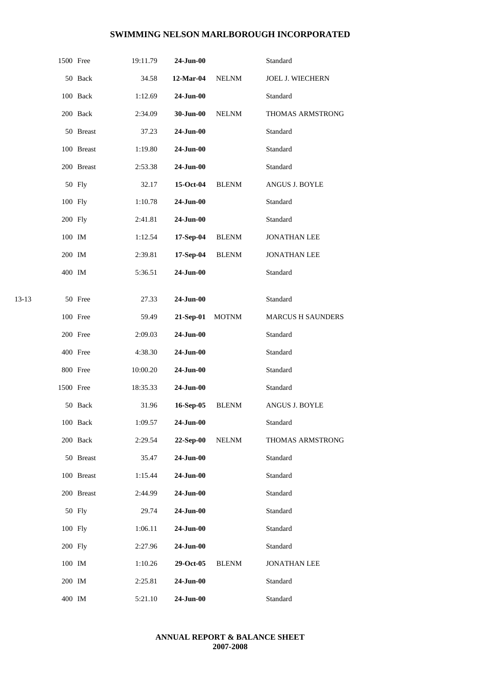|       | 1500 Free |            | 19:11.79 | 24-Jun-00       |              | Standard                 |  |
|-------|-----------|------------|----------|-----------------|--------------|--------------------------|--|
|       |           | 50 Back    | 34.58    | 12-Mar-04       | <b>NELNM</b> | JOEL J. WIECHERN         |  |
|       |           | 100 Back   | 1:12.69  | 24-Jun-00       |              | Standard                 |  |
|       |           | 200 Back   | 2:34.09  | 30-Jun-00       | <b>NELNM</b> | THOMAS ARMSTRONG         |  |
|       |           | 50 Breast  | 37.23    | 24-Jun-00       |              | Standard                 |  |
|       |           | 100 Breast | 1:19.80  | 24-Jun-00       |              | Standard                 |  |
|       |           | 200 Breast | 2:53.38  | 24-Jun-00       |              | Standard                 |  |
|       |           | 50 Fly     | 32.17    | 15-Oct-04       | <b>BLENM</b> | ANGUS J. BOYLE           |  |
|       | 100 Fly   |            | 1:10.78  | 24-Jun-00       |              | Standard                 |  |
|       | 200 Fly   |            | 2:41.81  | 24-Jun-00       |              | Standard                 |  |
|       | 100 IM    |            | 1:12.54  | 17-Sep-04       | <b>BLENM</b> | <b>JONATHAN LEE</b>      |  |
|       | 200 IM    |            | 2:39.81  | $17-Sep-04$     | <b>BLENM</b> | <b>JONATHAN LEE</b>      |  |
|       | 400 IM    |            | 5:36.51  | 24-Jun-00       |              | Standard                 |  |
|       |           |            |          |                 |              |                          |  |
| 13-13 |           | 50 Free    | 27.33    | 24-Jun-00       |              | Standard                 |  |
|       |           | 100 Free   | 59.49    | 21-Sep-01       | <b>MOTNM</b> | <b>MARCUS H SAUNDERS</b> |  |
|       |           | 200 Free   | 2:09.03  | 24-Jun-00       |              | Standard                 |  |
|       |           | 400 Free   | 4:38.30  | $24$ -Jun- $00$ |              | Standard                 |  |
|       |           | 800 Free   | 10:00.20 | 24-Jun-00       |              | Standard                 |  |
|       | 1500 Free |            | 18:35.33 | 24-Jun-00       |              | Standard                 |  |
|       |           | 50 Back    | 31.96    | 16-Sep-05       | <b>BLENM</b> | ANGUS J. BOYLE           |  |
|       |           | 100 Back   | 1:09.57  | 24-Jun-00       |              | Standard                 |  |
|       |           | 200 Back   | 2:29.54  | 22-Sep-00       | <b>NELNM</b> | THOMAS ARMSTRONG         |  |
|       |           | 50 Breast  | 35.47    | 24-Jun-00       |              | Standard                 |  |
|       |           | 100 Breast | 1:15.44  | $24-Jun-00$     |              | Standard                 |  |
|       |           | 200 Breast | 2:44.99  | 24-Jun-00       |              | Standard                 |  |
|       |           | 50 Fly     | 29.74    | 24-Jun-00       |              | Standard                 |  |
|       | 100 Fly   |            | 1:06.11  | 24-Jun-00       |              | Standard                 |  |
|       | 200 Fly   |            | 2:27.96  | 24-Jun-00       |              | Standard                 |  |
|       | 100 IM    |            | 1:10.26  | 29-Oct-05       | <b>BLENM</b> | <b>JONATHAN LEE</b>      |  |
|       | 200 IM    |            | 2:25.81  | 24-Jun-00       |              | Standard                 |  |
|       | 400 IM    |            | 5:21.10  | 24-Jun-00       |              | Standard                 |  |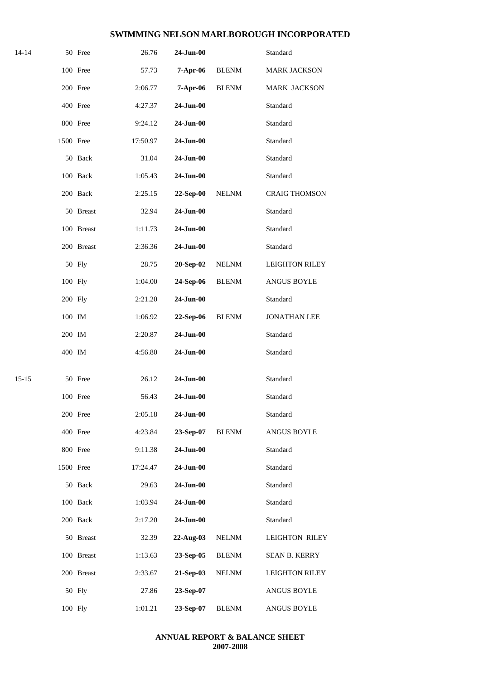| 14-14     |           | 50 Free    | 26.76    | 24-Jun-00       |              | Standard              |
|-----------|-----------|------------|----------|-----------------|--------------|-----------------------|
|           |           | 100 Free   | 57.73    | 7-Apr-06        | <b>BLENM</b> | MARK JACKSON          |
|           |           | 200 Free   | 2:06.77  | 7-Apr-06        | <b>BLENM</b> | MARK JACKSON          |
|           |           | 400 Free   | 4:27.37  | 24-Jun-00       |              | Standard              |
|           |           | 800 Free   | 9:24.12  | $24$ -Jun-00    |              | Standard              |
|           | 1500 Free |            | 17:50.97 | 24-Jun-00       |              | Standard              |
|           |           | 50 Back    | 31.04    | 24-Jun-00       |              | Standard              |
|           |           | 100 Back   | 1:05.43  | 24-Jun-00       |              | Standard              |
|           |           | 200 Back   | 2:25.15  | 22-Sep-00       | <b>NELNM</b> | <b>CRAIG THOMSON</b>  |
|           |           | 50 Breast  | 32.94    | 24-Jun-00       |              | Standard              |
|           |           | 100 Breast | 1:11.73  | 24-Jun-00       |              | Standard              |
|           |           | 200 Breast | 2:36.36  | 24-Jun-00       |              | Standard              |
|           |           | 50 Fly     | 28.75    | 20-Sep-02       | <b>NELNM</b> | <b>LEIGHTON RILEY</b> |
|           | 100 Fly   |            | 1:04.00  | 24-Sep-06       | <b>BLENM</b> | ANGUS BOYLE           |
|           | 200 Fly   |            | 2:21.20  | 24-Jun-00       |              | Standard              |
|           | 100 IM    |            | 1:06.92  | 22-Sep-06       | <b>BLENM</b> | <b>JONATHAN LEE</b>   |
|           | 200 IM    |            | 2:20.87  | $24$ -Jun-00    |              | Standard              |
|           | 400 IM    |            | 4:56.80  | 24-Jun-00       |              | Standard              |
| $15 - 15$ |           | 50 Free    | 26.12    | 24-Jun-00       |              | Standard              |
|           |           | 100 Free   | 56.43    | $24-Jun-00$     |              | Standard              |
|           |           | 200 Free   | 2:05.18  | 24-Jun-00       |              | Standard              |
|           |           | 400 Free   | 4:23.84  | 23-Sep-07       | <b>BLENM</b> | ANGUS BOYLE           |
|           |           | 800 Free   | 9:11.38  | 24-Jun-00       |              | Standard              |
|           | 1500 Free |            | 17:24.47 | $24$ -Jun- $00$ |              | Standard              |
|           |           | 50 Back    | 29.63    | 24-Jun-00       |              | Standard              |
|           |           | 100 Back   | 1:03.94  | 24-Jun-00       |              | Standard              |
|           |           | 200 Back   | 2:17.20  | 24-Jun-00       |              | Standard              |
|           |           | 50 Breast  | 32.39    | 22-Aug-03       | <b>NELNM</b> | <b>LEIGHTON RILEY</b> |
|           |           | 100 Breast | 1:13.63  | 23-Sep-05       | <b>BLENM</b> | <b>SEAN B. KERRY</b>  |
|           |           | 200 Breast | 2:33.67  | 21-Sep-03       | <b>NELNM</b> | <b>LEIGHTON RILEY</b> |
|           |           | 50 Fly     | 27.86    | 23-Sep-07       |              | ANGUS BOYLE           |
|           | 100 Fly   |            | 1:01.21  | 23-Sep-07       | <b>BLENM</b> | ANGUS BOYLE           |
|           |           |            |          |                 |              |                       |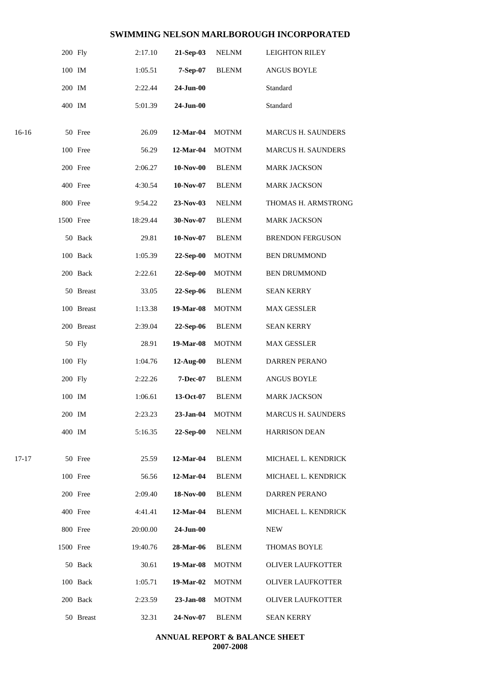|       | 200 Fly   |            | 2:17.10  | 21-Sep-03        | <b>NELNM</b> | <b>LEIGHTON RILEY</b>     |
|-------|-----------|------------|----------|------------------|--------------|---------------------------|
|       | 100 IM    |            | 1:05.51  | 7-Sep-07         | <b>BLENM</b> | <b>ANGUS BOYLE</b>        |
|       | 200 IM    |            | 2:22.44  | 24-Jun-00        |              | Standard                  |
|       | 400 IM    |            | 5:01.39  | 24-Jun-00        |              | Standard                  |
| 16-16 |           | 50 Free    | 26.09    | 12-Mar-04        | <b>MOTNM</b> | <b>MARCUS H. SAUNDERS</b> |
|       |           | 100 Free   | 56.29    | 12-Mar-04        | <b>MOTNM</b> | <b>MARCUS H. SAUNDERS</b> |
|       |           | 200 Free   | 2:06.27  | <b>10-Nov-00</b> | <b>BLENM</b> | <b>MARK JACKSON</b>       |
|       |           | 400 Free   | 4:30.54  | $10-Nov-07$      | <b>BLENM</b> | <b>MARK JACKSON</b>       |
|       |           | 800 Free   | 9:54.22  | 23-Nov-03        | <b>NELNM</b> | THOMAS H. ARMSTRONG       |
|       | 1500 Free |            | 18:29.44 | 30-Nov-07        | <b>BLENM</b> | MARK JACKSON              |
|       |           | 50 Back    | 29.81    | 10-Nov-07        | <b>BLENM</b> | <b>BRENDON FERGUSON</b>   |
|       |           | 100 Back   | 1:05.39  | 22-Sep-00        | <b>MOTNM</b> | <b>BEN DRUMMOND</b>       |
|       |           | 200 Back   | 2:22.61  | 22-Sep-00        | <b>MOTNM</b> | <b>BEN DRUMMOND</b>       |
|       |           | 50 Breast  | 33.05    | 22-Sep-06        | <b>BLENM</b> | <b>SEAN KERRY</b>         |
|       |           | 100 Breast | 1:13.38  | 19-Mar-08        | <b>MOTNM</b> | <b>MAX GESSLER</b>        |
|       |           | 200 Breast | 2:39.04  | 22-Sep-06        | <b>BLENM</b> | <b>SEAN KERRY</b>         |
|       |           | 50 Fly     | 28.91    | 19-Mar-08        | <b>MOTNM</b> | <b>MAX GESSLER</b>        |
|       | 100 Fly   |            | 1:04.76  | $12$ -Aug-00     | <b>BLENM</b> | DARREN PERANO             |
|       | 200 Fly   |            | 2:22.26  | 7-Dec-07         | <b>BLENM</b> | ANGUS BOYLE               |
|       | 100 IM    |            | 1:06.61  | 13-Oct-07        | <b>BLENM</b> | <b>MARK JACKSON</b>       |
|       | 200 IM    |            | 2:23.23  | 23-Jan-04        | <b>MOTNM</b> | <b>MARCUS H. SAUNDERS</b> |
|       | 400 IM    |            | 5:16.35  | 22-Sep-00        | <b>NELNM</b> | <b>HARRISON DEAN</b>      |
| 17-17 |           | 50 Free    | 25.59    | 12-Mar-04        | <b>BLENM</b> | MICHAEL L. KENDRICK       |
|       |           | 100 Free   | 56.56    | 12-Mar-04        | <b>BLENM</b> | MICHAEL L. KENDRICK       |
|       |           | 200 Free   | 2:09.40  | 18-Nov-00        | <b>BLENM</b> | <b>DARREN PERANO</b>      |
|       |           | 400 Free   | 4:41.41  | 12-Mar-04        | <b>BLENM</b> | MICHAEL L. KENDRICK       |
|       |           | 800 Free   | 20:00.00 | 24-Jun-00        |              | <b>NEW</b>                |
|       | 1500 Free |            | 19:40.76 | 28-Mar-06        | <b>BLENM</b> | <b>THOMAS BOYLE</b>       |
|       |           | 50 Back    | 30.61    | 19-Mar-08        | <b>MOTNM</b> | <b>OLIVER LAUFKOTTER</b>  |
|       |           | 100 Back   | 1:05.71  | 19-Mar-02        | <b>MOTNM</b> | <b>OLIVER LAUFKOTTER</b>  |
|       |           | 200 Back   | 2:23.59  | $23-Jan-08$      | <b>MOTNM</b> | <b>OLIVER LAUFKOTTER</b>  |
|       |           | 50 Breast  | 32.31    | 24-Nov-07        | <b>BLENM</b> | <b>SEAN KERRY</b>         |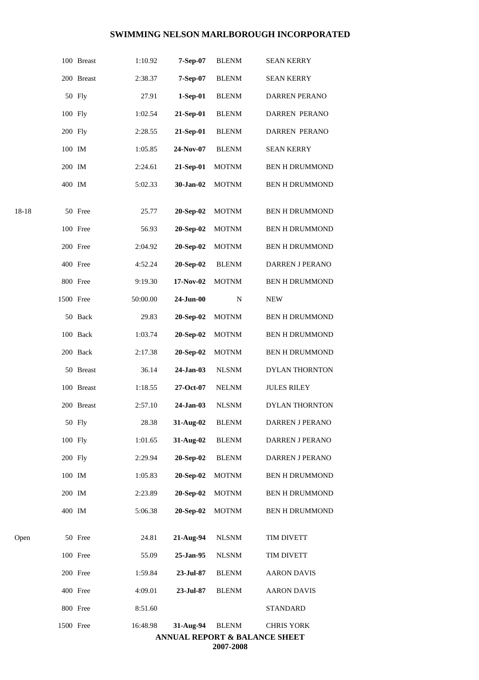| Open  | 50 Free    | 24.81    | 21-Aug-94 | <b>NLSNM</b> | TIM DIVETT             |
|-------|------------|----------|-----------|--------------|------------------------|
|       |            |          |           |              |                        |
|       | 400 IM     | 5:06.38  | 20-Sep-02 | <b>MOTNM</b> | <b>BEN H DRUMMOND</b>  |
|       | 200 IM     | 2:23.89  | 20-Sep-02 | <b>MOTNM</b> | <b>BEN H DRUMMOND</b>  |
|       | 100 IM     | 1:05.83  | 20-Sep-02 | <b>MOTNM</b> | <b>BEN H DRUMMOND</b>  |
|       | 200 Fly    | 2:29.94  | 20-Sep-02 | <b>BLENM</b> | DARREN J PERANO        |
|       | 100 Fly    | 1:01.65  | 31-Aug-02 | <b>BLENM</b> | DARREN J PERANO        |
|       | 50 Fly     | 28.38    | 31-Aug-02 | <b>BLENM</b> | DARREN J PERANO        |
|       | 200 Breast | 2:57.10  | 24-Jan-03 | <b>NLSNM</b> | <b>DYLAN THORNTON</b>  |
|       | 100 Breast | 1:18.55  | 27-Oct-07 | <b>NELNM</b> | <b>JULES RILEY</b>     |
|       | 50 Breast  | 36.14    | 24-Jan-03 | <b>NLSNM</b> | DYLAN THORNTON         |
|       | 200 Back   | 2:17.38  | 20-Sep-02 | <b>MOTNM</b> | <b>BEN H DRUMMOND</b>  |
|       | 100 Back   | 1:03.74  | 20-Sep-02 | <b>MOTNM</b> | <b>BEN H DRUMMOND</b>  |
|       | 50 Back    | 29.83    | 20-Sep-02 | <b>MOTNM</b> | <b>BEN H DRUMMOND</b>  |
|       | 1500 Free  | 50:00.00 | 24-Jun-00 | N            | <b>NEW</b>             |
|       | 800 Free   | 9:19.30  | 17-Nov-02 | <b>MOTNM</b> | <b>BEN H DRUMMOND</b>  |
|       | 400 Free   | 4:52.24  | 20-Sep-02 | <b>BLENM</b> | <b>DARREN J PERANO</b> |
|       | 200 Free   | 2:04.92  | 20-Sep-02 | <b>MOTNM</b> | <b>BEN H DRUMMOND</b>  |
|       | 100 Free   | 56.93    | 20-Sep-02 | <b>MOTNM</b> | <b>BEN H DRUMMOND</b>  |
| 18-18 | 50 Free    | 25.77    | 20-Sep-02 | <b>MOTNM</b> | <b>BEN H DRUMMOND</b>  |
|       | 400 IM     | 5:02.33  | 30-Jan-02 | <b>MOTNM</b> | <b>BEN H DRUMMOND</b>  |
|       | 200 IM     | 2:24.61  | 21-Sep-01 | <b>MOTNM</b> | BEN H DRUMMOND         |
|       | 100 IM     | 1:05.85  | 24-Nov-07 | <b>BLENM</b> | <b>SEAN KERRY</b>      |
|       | 200 Fly    | 2:28.55  | 21-Sep-01 | <b>BLENM</b> | DARREN PERANO          |
|       | 100 Fly    | 1:02.54  | 21-Sep-01 | <b>BLENM</b> | DARREN PERANO          |
|       | 50 Fly     | 27.91    | 1-Sep-01  | <b>BLENM</b> | <b>DARREN PERANO</b>   |
|       | 200 Breast | 2:38.37  | 7-Sep-07  | <b>BLENM</b> | <b>SEAN KERRY</b>      |
|       | 100 Breast | 1:10.92  | 7-Sep-07  | <b>BLENM</b> | <b>SEAN KERRY</b>      |
|       |            |          |           |              |                        |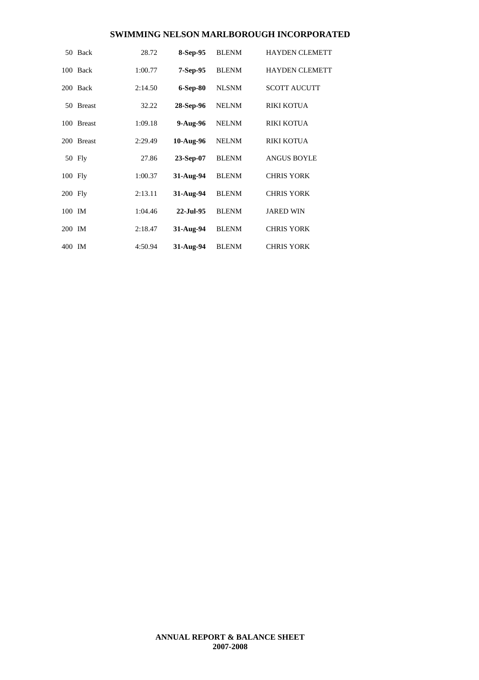|         | 50 Back    | 28.72   | 8-Sep-95     | <b>BLENM</b> | <b>HAYDEN CLEMETT</b> |
|---------|------------|---------|--------------|--------------|-----------------------|
|         | 100 Back   | 1:00.77 | $7-Sep-95$   | <b>BLENM</b> | <b>HAYDEN CLEMETT</b> |
|         | 200 Back   | 2:14.50 | $6-Sep-80$   | <b>NLSNM</b> | <b>SCOTT AUCUTT</b>   |
|         | 50 Breast  | 32.22   | 28-Sep-96    | <b>NELNM</b> | <b>RIKI KOTUA</b>     |
|         | 100 Breast | 1:09.18 | $9-Aug-96$   | <b>NELNM</b> | <b>RIKI KOTUA</b>     |
|         | 200 Breast | 2:29.49 | $10-Aug-96$  | <b>NELNM</b> | <b>RIKI KOTUA</b>     |
|         | 50 Fly     | 27.86   | $23-Sep-07$  | <b>BLENM</b> | <b>ANGUS BOYLE</b>    |
| 100 Fly |            | 1:00.37 | 31-Aug-94    | <b>BLENM</b> | <b>CHRIS YORK</b>     |
| 200 Fly |            | 2:13.11 | 31-Aug-94    | <b>BLENM</b> | <b>CHRIS YORK</b>     |
| 100 IM  |            | 1:04.46 | $22$ -Jul-95 | <b>BLENM</b> | <b>JARED WIN</b>      |
| 200 IM  |            | 2:18.47 | 31-Aug-94    | <b>BLENM</b> | <b>CHRIS YORK</b>     |
| 400 IM  |            | 4:50.94 | 31-Aug-94    | <b>BLENM</b> | <b>CHRIS YORK</b>     |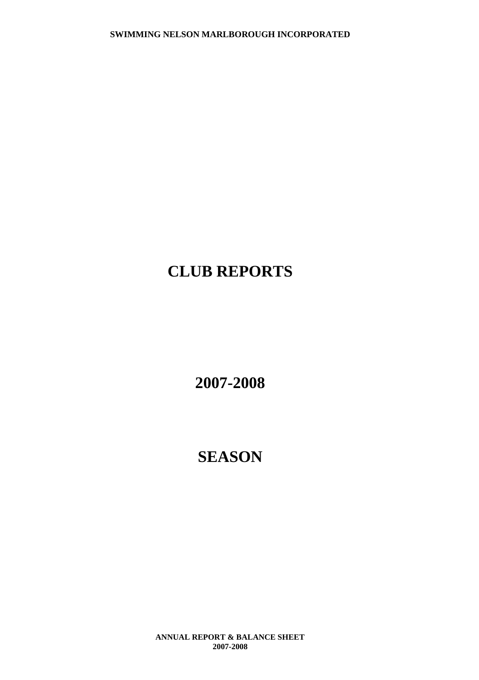## **CLUB REPORTS**

**2007-2008**

## **SEASON**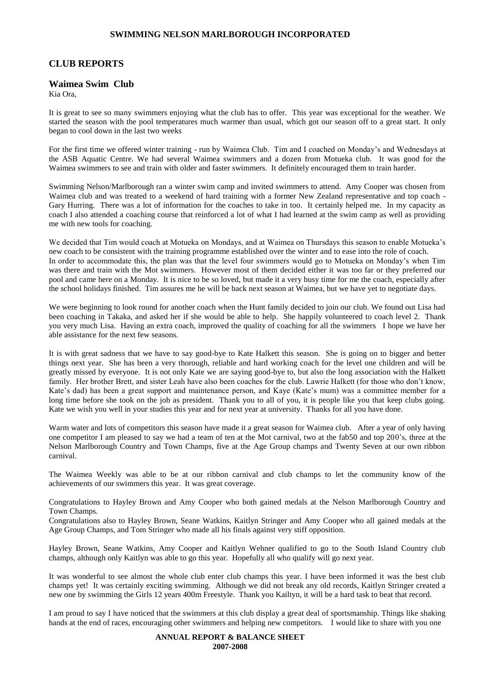### **CLUB REPORTS**

### **Waimea Swim Club**

Kia Ora,

It is great to see so many swimmers enjoying what the club has to offer. This year was exceptional for the weather. We started the season with the pool temperatures much warmer than usual, which got our season off to a great start. It only began to cool down in the last two weeks

For the first time we offered winter training - run by Waimea Club. Tim and I coached on Monday's and Wednesdays at the ASB Aquatic Centre. We had several Waimea swimmers and a dozen from Motueka club. It was good for the Waimea swimmers to see and train with older and faster swimmers. It definitely encouraged them to train harder.

Swimming Nelson/Marlborough ran a winter swim camp and invited swimmers to attend. Amy Cooper was chosen from Waimea club and was treated to a weekend of hard training with a former New Zealand representative and top coach - Gary Hurring. There was a lot of information for the coaches to take in too. It certainly helped me. In my capacity as coach I also attended a coaching course that reinforced a lot of what I had learned at the swim camp as well as providing me with new tools for coaching.

We decided that Tim would coach at Motueka on Mondays, and at Waimea on Thursdays this season to enable Motueka's new coach to be consistent with the training programme established over the winter and to ease into the role of coach. In order to accommodate this, the plan was that the level four swimmers would go to Motueka on Monday's when Tim was there and train with the Mot swimmers. However most of them decided either it was too far or they preferred our pool and came here on a Monday. It is nice to be so loved, but made it a very busy time for me the coach, especially after the school holidays finished. Tim assures me he will be back next season at Waimea, but we have yet to negotiate days.

We were beginning to look round for another coach when the Hunt family decided to join our club. We found out Lisa had been coaching in Takaka, and asked her if she would be able to help. She happily volunteered to coach level 2. Thank you very much Lisa. Having an extra coach, improved the quality of coaching for all the swimmers I hope we have her able assistance for the next few seasons.

It is with great sadness that we have to say good-bye to Kate Halkett this season. She is going on to bigger and better things next year. She has been a very thorough, reliable and hard working coach for the level one children and will be greatly missed by everyone. It is not only Kate we are saying good-bye to, but also the long association with the Halkett family. Her brother Brett, and sister Leah have also been coaches for the club. Lawrie Halkett (for those who don't know, Kate's dad) has been a great support and maintenance person, and Kaye (Kate's mum) was a committee member for a long time before she took on the job as president. Thank you to all of you, it is people like you that keep clubs going. Kate we wish you well in your studies this year and for next year at university. Thanks for all you have done.

Warm water and lots of competitors this season have made it a great season for Waimea club. After a year of only having one competitor I am pleased to say we had a team of ten at the Mot carnival, two at the fab50 and top 200's, three at the Nelson Marlborough Country and Town Champs, five at the Age Group champs and Twenty Seven at our own ribbon carnival.

The Waimea Weekly was able to be at our ribbon carnival and club champs to let the community know of the achievements of our swimmers this year. It was great coverage.

Congratulations to Hayley Brown and Amy Cooper who both gained medals at the Nelson Marlborough Country and Town Champs.

Congratulations also to Hayley Brown, Seane Watkins, Kaitlyn Stringer and Amy Cooper who all gained medals at the Age Group Champs, and Tom Stringer who made all his finals against very stiff opposition.

Hayley Brown, Seane Watkins, Amy Cooper and Kaitlyn Wehner qualified to go to the South Island Country club champs, although only Kaitlyn was able to go this year. Hopefully all who qualify will go next year.

It was wonderful to see almost the whole club enter club champs this year. I have been informed it was the best club champs yet! It was certainly exciting swimming. Although we did not break any old records, Kaitlyn Stringer created a new one by swimming the Girls 12 years 400m Freestyle. Thank you Kailtyn, it will be a hard task to beat that record.

I am proud to say I have noticed that the swimmers at this club display a great deal of sportsmanship. Things like shaking hands at the end of races, encouraging other swimmers and helping new competitors. I would like to share with you one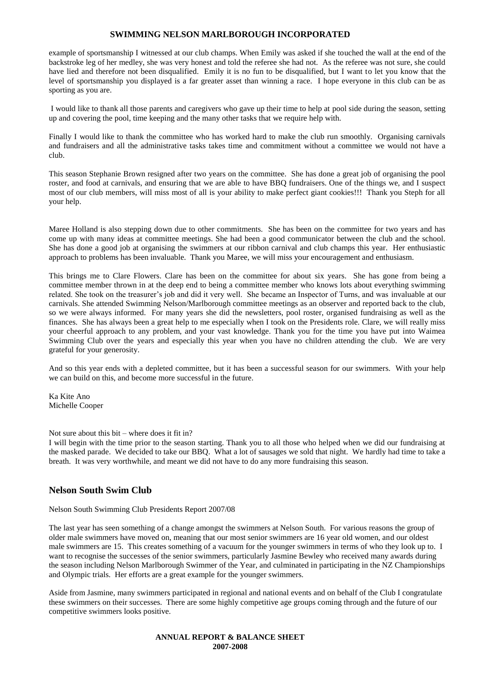example of sportsmanship I witnessed at our club champs. When Emily was asked if she touched the wall at the end of the backstroke leg of her medley, she was very honest and told the referee she had not. As the referee was not sure, she could have lied and therefore not been disqualified. Emily it is no fun to be disqualified, but I want to let you know that the level of sportsmanship you displayed is a far greater asset than winning a race. I hope everyone in this club can be as sporting as you are.

I would like to thank all those parents and caregivers who gave up their time to help at pool side during the season, setting up and covering the pool, time keeping and the many other tasks that we require help with.

Finally I would like to thank the committee who has worked hard to make the club run smoothly. Organising carnivals and fundraisers and all the administrative tasks takes time and commitment without a committee we would not have a club.

This season Stephanie Brown resigned after two years on the committee. She has done a great job of organising the pool roster, and food at carnivals, and ensuring that we are able to have BBQ fundraisers. One of the things we, and I suspect most of our club members, will miss most of all is your ability to make perfect giant cookies!!! Thank you Steph for all your help.

Maree Holland is also stepping down due to other commitments. She has been on the committee for two years and has come up with many ideas at committee meetings. She had been a good communicator between the club and the school. She has done a good job at organising the swimmers at our ribbon carnival and club champs this year. Her enthusiastic approach to problems has been invaluable. Thank you Maree, we will miss your encouragement and enthusiasm.

This brings me to Clare Flowers. Clare has been on the committee for about six years. She has gone from being a committee member thrown in at the deep end to being a committee member who knows lots about everything swimming related. She took on the treasurer's job and did it very well. She became an Inspector of Turns, and was invaluable at our carnivals. She attended Swimming Nelson/Marlborough committee meetings as an observer and reported back to the club, so we were always informed. For many years she did the newsletters, pool roster, organised fundraising as well as the finances. She has always been a great help to me especially when I took on the Presidents role. Clare, we will really miss your cheerful approach to any problem, and your vast knowledge. Thank you for the time you have put into Waimea Swimming Club over the years and especially this year when you have no children attending the club. We are very grateful for your generosity.

And so this year ends with a depleted committee, but it has been a successful season for our swimmers. With your help we can build on this, and become more successful in the future.

Ka Kite Ano Michelle Cooper

Not sure about this bit – where does it fit in?

I will begin with the time prior to the season starting. Thank you to all those who helped when we did our fundraising at the masked parade. We decided to take our BBQ. What a lot of sausages we sold that night. We hardly had time to take a breath. It was very worthwhile, and meant we did not have to do any more fundraising this season.

### **Nelson South Swim Club**

Nelson South Swimming Club Presidents Report 2007/08

The last year has seen something of a change amongst the swimmers at Nelson South. For various reasons the group of older male swimmers have moved on, meaning that our most senior swimmers are 16 year old women, and our oldest male swimmers are 15. This creates something of a vacuum for the younger swimmers in terms of who they look up to. I want to recognise the successes of the senior swimmers, particularly Jasmine Bewley who received many awards during the season including Nelson Marlborough Swimmer of the Year, and culminated in participating in the NZ Championships and Olympic trials. Her efforts are a great example for the younger swimmers.

Aside from Jasmine, many swimmers participated in regional and national events and on behalf of the Club I congratulate these swimmers on their successes. There are some highly competitive age groups coming through and the future of our competitive swimmers looks positive.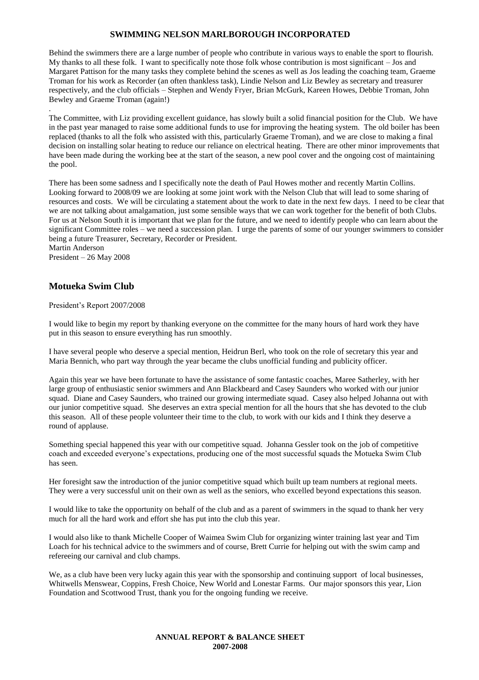Behind the swimmers there are a large number of people who contribute in various ways to enable the sport to flourish. My thanks to all these folk. I want to specifically note those folk whose contribution is most significant – Jos and Margaret Pattison for the many tasks they complete behind the scenes as well as Jos leading the coaching team, Graeme Troman for his work as Recorder (an often thankless task), Lindie Nelson and Liz Bewley as secretary and treasurer respectively, and the club officials – Stephen and Wendy Fryer, Brian McGurk, Kareen Howes, Debbie Troman, John Bewley and Graeme Troman (again!)

The Committee, with Liz providing excellent guidance, has slowly built a solid financial position for the Club. We have in the past year managed to raise some additional funds to use for improving the heating system. The old boiler has been replaced (thanks to all the folk who assisted with this, particularly Graeme Troman), and we are close to making a final decision on installing solar heating to reduce our reliance on electrical heating. There are other minor improvements that have been made during the working bee at the start of the season, a new pool cover and the ongoing cost of maintaining the pool.

There has been some sadness and I specifically note the death of Paul Howes mother and recently Martin Collins. Looking forward to 2008/09 we are looking at some joint work with the Nelson Club that will lead to some sharing of resources and costs. We will be circulating a statement about the work to date in the next few days. I need to be clear that we are not talking about amalgamation, just some sensible ways that we can work together for the benefit of both Clubs. For us at Nelson South it is important that we plan for the future, and we need to identify people who can learn about the significant Committee roles – we need a succession plan. I urge the parents of some of our younger swimmers to consider being a future Treasurer, Secretary, Recorder or President. Martin Anderson

President – 26 May 2008

.

### **Motueka Swim Club**

President's Report 2007/2008

I would like to begin my report by thanking everyone on the committee for the many hours of hard work they have put in this season to ensure everything has run smoothly.

I have several people who deserve a special mention, Heidrun Berl, who took on the role of secretary this year and Maria Bennich, who part way through the year became the clubs unofficial funding and publicity officer.

Again this year we have been fortunate to have the assistance of some fantastic coaches, Maree Satherley, with her large group of enthusiastic senior swimmers and Ann Blackbeard and Casey Saunders who worked with our junior squad. Diane and Casey Saunders, who trained our growing intermediate squad. Casey also helped Johanna out with our junior competitive squad. She deserves an extra special mention for all the hours that she has devoted to the club this season. All of these people volunteer their time to the club, to work with our kids and I think they deserve a round of applause.

Something special happened this year with our competitive squad. Johanna Gessler took on the job of competitive coach and exceeded everyone's expectations, producing one of the most successful squads the Motueka Swim Club has seen.

Her foresight saw the introduction of the junior competitive squad which built up team numbers at regional meets. They were a very successful unit on their own as well as the seniors, who excelled beyond expectations this season.

I would like to take the opportunity on behalf of the club and as a parent of swimmers in the squad to thank her very much for all the hard work and effort she has put into the club this year.

I would also like to thank Michelle Cooper of Waimea Swim Club for organizing winter training last year and Tim Loach for his technical advice to the swimmers and of course, Brett Currie for helping out with the swim camp and refereeing our carnival and club champs.

We, as a club have been very lucky again this year with the sponsorship and continuing support of local businesses, Whitwells Menswear, Coppins, Fresh Choice, New World and Lonestar Farms. Our major sponsors this year, Lion Foundation and Scottwood Trust, thank you for the ongoing funding we receive.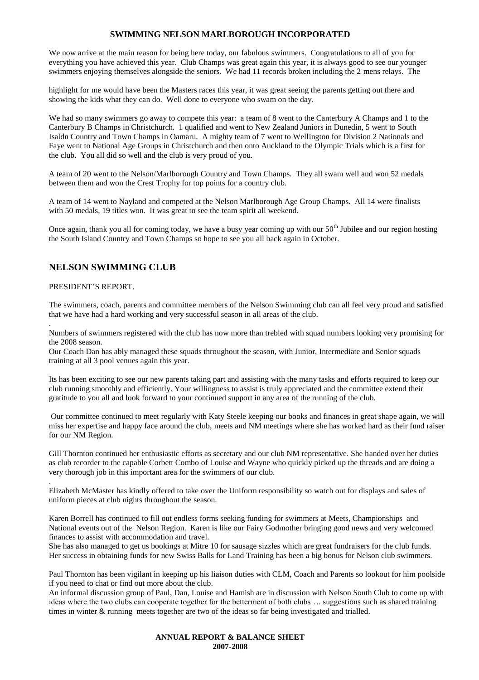We now arrive at the main reason for being here today, our fabulous swimmers. Congratulations to all of you for everything you have achieved this year. Club Champs was great again this year, it is always good to see our younger swimmers enjoying themselves alongside the seniors. We had 11 records broken including the 2 mens relays. The

highlight for me would have been the Masters races this year, it was great seeing the parents getting out there and showing the kids what they can do. Well done to everyone who swam on the day.

We had so many swimmers go away to compete this year: a team of 8 went to the Canterbury A Champs and 1 to the Canterbury B Champs in Christchurch. 1 qualified and went to New Zealand Juniors in Dunedin, 5 went to South Isaldn Country and Town Champs in Oamaru. A mighty team of 7 went to Wellington for Division 2 Nationals and Faye went to National Age Groups in Christchurch and then onto Auckland to the Olympic Trials which is a first for the club. You all did so well and the club is very proud of you.

A team of 20 went to the Nelson/Marlborough Country and Town Champs. They all swam well and won 52 medals between them and won the Crest Trophy for top points for a country club.

A team of 14 went to Nayland and competed at the Nelson Marlborough Age Group Champs. All 14 were finalists with 50 medals, 19 titles won. It was great to see the team spirit all weekend.

Once again, thank you all for coming today, we have a busy year coming up with our 50<sup>th</sup> Jubilee and our region hosting the South Island Country and Town Champs so hope to see you all back again in October.

### **NELSON SWIMMING CLUB**

### PRESIDENT'S REPORT.

.

.

The swimmers, coach, parents and committee members of the Nelson Swimming club can all feel very proud and satisfied that we have had a hard working and very successful season in all areas of the club.

Numbers of swimmers registered with the club has now more than trebled with squad numbers looking very promising for the 2008 season.

Our Coach Dan has ably managed these squads throughout the season, with Junior, Intermediate and Senior squads training at all 3 pool venues again this year.

Its has been exciting to see our new parents taking part and assisting with the many tasks and efforts required to keep our club running smoothly and efficiently. Your willingness to assist is truly appreciated and the committee extend their gratitude to you all and look forward to your continued support in any area of the running of the club.

Our committee continued to meet regularly with Katy Steele keeping our books and finances in great shape again, we will miss her expertise and happy face around the club, meets and NM meetings where she has worked hard as their fund raiser for our NM Region.

Gill Thornton continued her enthusiastic efforts as secretary and our club NM representative. She handed over her duties as club recorder to the capable Corbett Combo of Louise and Wayne who quickly picked up the threads and are doing a very thorough job in this important area for the swimmers of our club.

Elizabeth McMaster has kindly offered to take over the Uniform responsibility so watch out for displays and sales of uniform pieces at club nights throughout the season.

Karen Borrell has continued to fill out endless forms seeking funding for swimmers at Meets, Championships and National events out of the Nelson Region. Karen is like our Fairy Godmother bringing good news and very welcomed finances to assist with accommodation and travel.

She has also managed to get us bookings at Mitre 10 for sausage sizzles which are great fundraisers for the club funds. Her success in obtaining funds for new Swiss Balls for Land Training has been a big bonus for Nelson club swimmers.

Paul Thornton has been vigilant in keeping up his liaison duties with CLM, Coach and Parents so lookout for him poolside if you need to chat or find out more about the club.

An informal discussion group of Paul, Dan, Louise and Hamish are in discussion with Nelson South Club to come up with ideas where the two clubs can cooperate together for the betterment of both clubs…. suggestions such as shared training times in winter & running meets together are two of the ideas so far being investigated and trialled.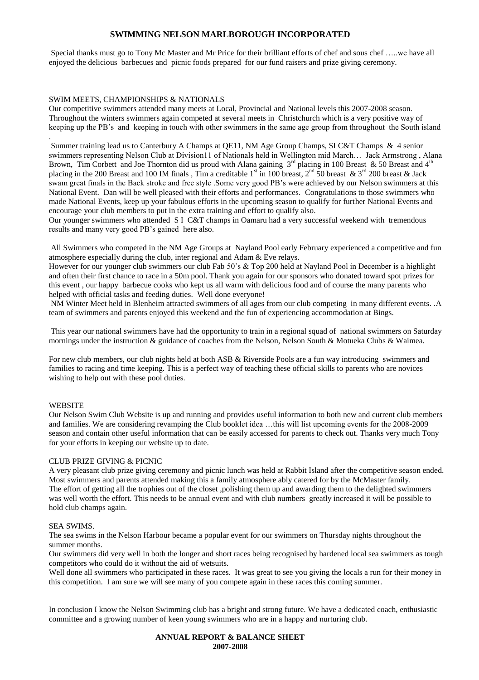Special thanks must go to Tony Mc Master and Mr Price for their brilliant efforts of chef and sous chef …..we have all enjoyed the delicious barbecues and picnic foods prepared for our fund raisers and prize giving ceremony.

### SWIM MEETS, CHAMPIONSHIPS & NATIONALS

Our competitive swimmers attended many meets at Local, Provincial and National levels this 2007-2008 season. Throughout the winters swimmers again competed at several meets in Christchurch which is a very positive way of keeping up the PB's and keeping in touch with other swimmers in the same age group from throughout the South island

. Summer training lead us to Canterbury A Champs at QE11, NM Age Group Champs, SI C&T Champs & 4 senior swimmers representing Nelson Club at Division11 of Nationals held in Wellington mid March… Jack Armstrong , Alana Brown, Tim Corbett and Joe Thornton did us proud with Alana gaining  $3^{rd}$  placing in 100 Breast & 50 Breast and 4<sup>th</sup> placing in the 200 Breast and 100 IM finals, Tim a creditable 1<sup>st</sup> in 100 breast,  $2^{nd}$  50 breast & 3<sup>rd</sup> 200 breast & Jack swam great finals in the Back stroke and free style .Some very good PB's were achieved by our Nelson swimmers at this National Event. Dan will be well pleased with their efforts and performances. Congratulations to those swimmers who made National Events, keep up your fabulous efforts in the upcoming season to qualify for further National Events and encourage your club members to put in the extra training and effort to qualify also.

Our younger swimmers who attended S I C&T champs in Oamaru had a very successful weekend with tremendous results and many very good PB's gained here also.

All Swimmers who competed in the NM Age Groups at Nayland Pool early February experienced a competitive and fun atmosphere especially during the club, inter regional and Adam & Eve relays.

However for our younger club swimmers our club Fab 50's & Top 200 held at Nayland Pool in December is a highlight and often their first chance to race in a 50m pool. Thank you again for our sponsors who donated toward spot prizes for this event , our happy barbecue cooks who kept us all warm with delicious food and of course the many parents who helped with official tasks and feeding duties. Well done everyone!

NM Winter Meet held in Blenheim attracted swimmers of all ages from our club competing in many different events. .A team of swimmers and parents enjoyed this weekend and the fun of experiencing accommodation at Bings.

This year our national swimmers have had the opportunity to train in a regional squad of national swimmers on Saturday mornings under the instruction & guidance of coaches from the Nelson, Nelson South & Motueka Clubs & Waimea.

For new club members, our club nights held at both ASB & Riverside Pools are a fun way introducing swimmers and families to racing and time keeping. This is a perfect way of teaching these official skills to parents who are novices wishing to help out with these pool duties.

#### **WEBSITE**

Our Nelson Swim Club Website is up and running and provides useful information to both new and current club members and families. We are considering revamping the Club booklet idea …this will list upcoming events for the 2008-2009 season and contain other useful information that can be easily accessed for parents to check out. Thanks very much Tony for your efforts in keeping our website up to date.

#### CLUB PRIZE GIVING & PICNIC

A very pleasant club prize giving ceremony and picnic lunch was held at Rabbit Island after the competitive season ended. Most swimmers and parents attended making this a family atmosphere ably catered for by the McMaster family. The effort of getting all the trophies out of the closet ,polishing them up and awarding them to the delighted swimmers was well worth the effort. This needs to be annual event and with club numbers greatly increased it will be possible to hold club champs again.

#### SEA SWIMS.

The sea swims in the Nelson Harbour became a popular event for our swimmers on Thursday nights throughout the summer months.

Our swimmers did very well in both the longer and short races being recognised by hardened local sea swimmers as tough competitors who could do it without the aid of wetsuits.

Well done all swimmers who participated in these races. It was great to see you giving the locals a run for their money in this competition. I am sure we will see many of you compete again in these races this coming summer.

In conclusion I know the Nelson Swimming club has a bright and strong future. We have a dedicated coach, enthusiastic committee and a growing number of keen young swimmers who are in a happy and nurturing club.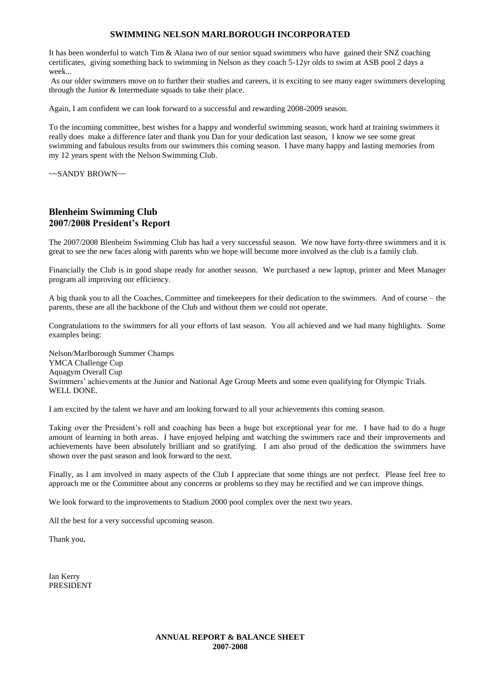It has been wonderful to watch Tim & Alana two of our senior squad swimmers who have gained their SNZ coaching certificates, giving something back to swimming in Nelson as they coach 5-12yr olds to swim at ASB pool 2 days a week...

As our older swimmers move on to further their studies and careers, it is exciting to see many eager swimmers developing through the Junior & Intermediate squads to take their place.

Again, I am confident we can look forward to a successful and rewarding 2008-2009 season.

To the incoming committee, best wishes for a happy and wonderful swimming season, work hard at training swimmers it really does make a difference later and thank you Dan for your dedication last season, I know we see some great swimming and fabulous results from our swimmers this coming season. I have many happy and lasting memories from my 12 years spent with the Nelson Swimming Club.

~~SANDY BROWN~~

### **Blenheim Swimming Club 2007/2008 President's Report**

The 2007/2008 Blenheim Swimming Club has had a very successful season. We now have forty-three swimmers and it is great to see the new faces along with parents who we hope will become more involved as the club is a family club.

Financially the Club is in good shape ready for another season. We purchased a new laptop, printer and Meet Manager program all improving our efficiency.

A big thank you to all the Coaches, Committee and timekeepers for their dedication to the swimmers. And of course – the parents, these are all the backbone of the Club and without them we could not operate.

Congratulations to the swimmers for all your efforts of last season. You all achieved and we had many highlights. Some examples being:

Nelson/Marlborough Summer Champs YMCA Challenge Cup Aquagym Overall Cup Swimmers' achievements at the Junior and National Age Group Meets and some even qualifying for Olympic Trials. WELL DONE.

I am excited by the talent we have and am looking forward to all your achievements this coming season.

Taking over the President's roll and coaching has been a huge but exceptional year for me. I have had to do a huge amount of learning in both areas. I have enjoyed helping and watching the swimmers race and their improvements and achievements have been absolutely brilliant and so gratifying. I am also proud of the dedication the swimmers have shown over the past season and look forward to the next.

Finally, as I am involved in many aspects of the Club I appreciate that some things are not perfect. Please feel free to approach me or the Committee about any concerns or problems so they may be rectified and we can improve things.

We look forward to the improvements to Stadium 2000 pool complex over the next two years.

All the best for a very successful upcoming season.

Thank you,

Ian Kerry PRESIDENT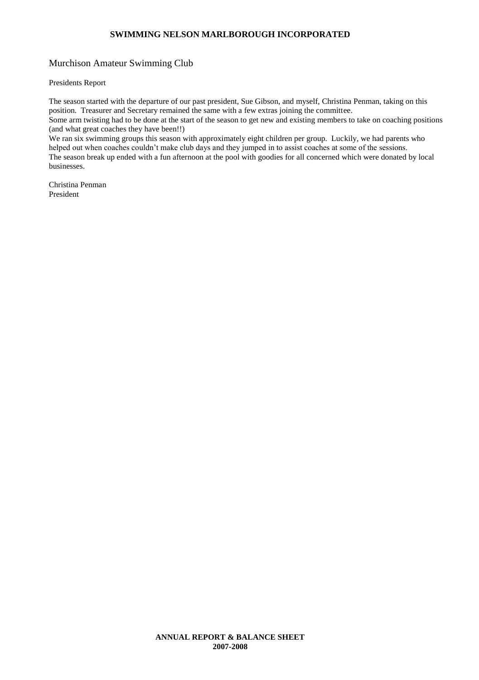### Murchison Amateur Swimming Club

### Presidents Report

The season started with the departure of our past president, Sue Gibson, and myself, Christina Penman, taking on this position. Treasurer and Secretary remained the same with a few extras joining the committee. Some arm twisting had to be done at the start of the season to get new and existing members to take on coaching positions (and what great coaches they have been!!)

We ran six swimming groups this season with approximately eight children per group. Luckily, we had parents who helped out when coaches couldn't make club days and they jumped in to assist coaches at some of the sessions. The season break up ended with a fun afternoon at the pool with goodies for all concerned which were donated by local businesses.

Christina Penman President